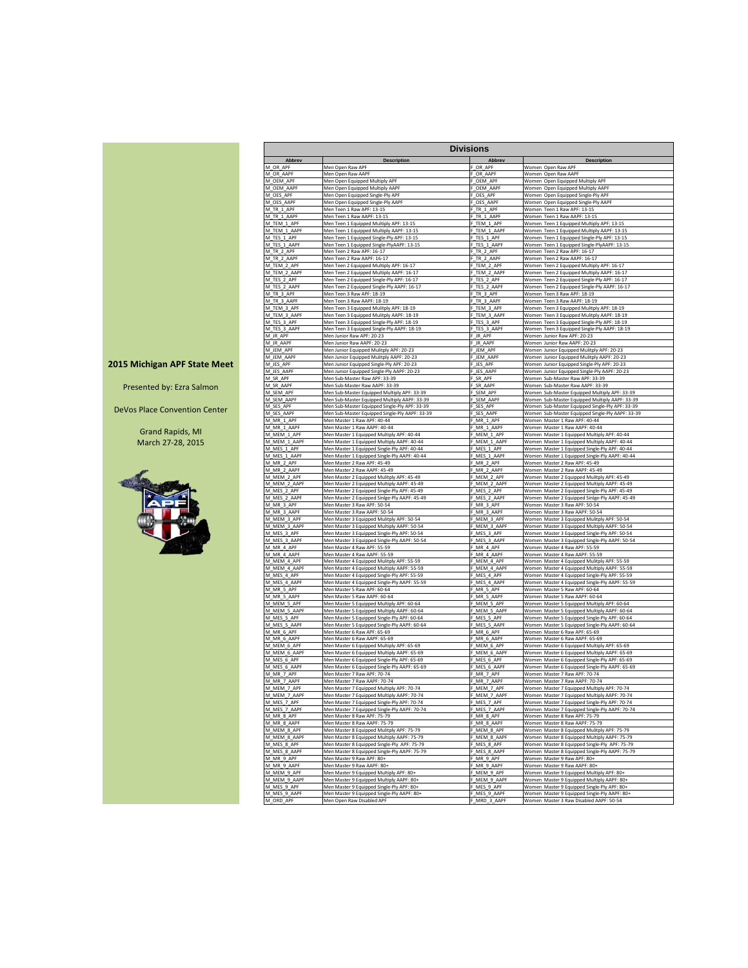|  | 2015 Michigan APF State Meet |  |
|--|------------------------------|--|

Presented by: Ezra Salmon

DeVos Place Convention Center

Grand Rapids, MI March 27-28, 2015



|                             |                                                                                             | <b>Divisions</b>             |                                                                                                 |
|-----------------------------|---------------------------------------------------------------------------------------------|------------------------------|-------------------------------------------------------------------------------------------------|
| Abbrev                      | <b>Description</b>                                                                          | Abbrev                       | <b>Description</b>                                                                              |
| M_OR_APF                    | Men Open Raw APF                                                                            | F_OR_APF                     | Women Open Raw APF                                                                              |
| M_OR_AAPF<br>M_OEM_APF      | Men Open Raw AAPF<br>Men Open Equipped Multiply APF                                         | F_OR_AAPF<br>F OEM APF       | Women Open Raw AAPF<br>Women Open Equipped Multiply APF                                         |
| M_OEM_AAPF                  | Men Open Equipped Multiply AAPF                                                             | F_OEM_AAPF                   | Women Open Equipped Multiply AAPF                                                               |
| M_OES_APF                   | Men Open Equipped Single-Ply APF                                                            | F_OES_APF                    | Women Open Equipped Single-Ply APF                                                              |
| M_OES_AAPF                  | Men Open Equipped Single-Ply AAPF                                                           | F_OES_AAPF                   | Women Open Equipped Single-Ply AAPF                                                             |
| M_TR_1_APF<br>M_TR_1_AAPF   | Men Teen 1 Raw APF: 13-15<br>Men Teen 1 Raw AAPF: 13-15                                     | F_TR_1_APF<br>TR_1_AAPF      | Women Teen 1 Raw APF: 13-15<br>Women Teen 1 Raw AAPF: 13-15                                     |
| M_TEM_1_APF                 | Men Teen 1 Equipped Multiply APF: 13-15                                                     | TEM_1_APF                    | Women Teen 1 Equipped Multiply APF: 13-15                                                       |
| M_TEM_1_AAPF                | Men Teen 1 Equipped Multiply AAPF: 13-15                                                    | F_TEM_1_AAPF                 | Women Teen 1 Equipped Multiply AAPF: 13-15                                                      |
| M_TES_1_APF                 | Men Teen 1 Equipped Single-Ply APF: 13-15                                                   | F_TES_1_APF                  | Women Teen 1 Equipped Single-Ply APF: 13-15                                                     |
| M_TES_1_AAPF<br>M TR 2 APF  | Men Teen 1 Equipped Single-PlyAAPF: 13-15<br>Men Teen 2 Raw APF: 16-17                      | F TES 1 AAPF<br>F TR 2 APF   | Women Teen 1 Equipped Single-PlyAAPF: 13-15<br>Women Teen 2 Raw APF: 16-17                      |
| M_TR_2_AAPF                 | Men Teen 2 Raw AAPF: 16-17                                                                  | F_TR_2_AAPF                  | Women Teen 2 Raw AAPF: 16-17                                                                    |
| M_TEM_2_APF                 | Men Teen 2 Equipped Multiply APF: 16-17                                                     | F_TEM_2_APF                  | Women Teen 2 Equipped Multiply APF: 16-17                                                       |
| M_TEM_2_AAPF                | Men Teen 2 Equipped Multiply AAPF: 16-17                                                    | F_TEM_2_AAPF                 | Women Teen 2 Equipped Multiply AAPF: 16-17                                                      |
| M_TES_2_APF<br>M_TES_2_AAPF | Men Teen 2 Equipped Single-Ply APF: 16-17<br>Men Teen 2 Equipped Single-Ply AAPF: 16-17     | F_TES_2_APF<br>TES_2_AAPF    | Women Teen 2 Equipped Single-Ply APF: 16-17<br>Women Teen 2 Equipped Single-Ply AAPF: 16-17     |
| M_TR_3_APF                  | Men Teen 3 Raw APF: 18-19                                                                   | F_TR_3_APF                   | Women Teen 3 Raw APF: 18-19                                                                     |
| M_TR_3_AAPF                 | Men Teen 3 Raw AAPF: 18-19                                                                  | F_TR_3_AAPF                  | Women Teen 3 Raw AAPF: 18-19                                                                    |
| M TEM 3 APF                 | Men Teen 3 Equipped Mulitply APF: 18-19                                                     | TEM_3_APF                    | Women Teen 3 Equipped Mulitply APF: 18-19                                                       |
| M_TEM_3_AAPF<br>M_TES_3_APF | Men Teen 3 Equipped Mulitply AAPF: 18-19<br>Men Teen 3 Equipped Single-Ply APF: 18-19       | TEM_3_AAPF<br>F_TES_3_APF    | Women Teen 3 Equipped Mulitply AAPF: 18-19<br>Women Teen 3 Equipped Single-Ply APF: 18-19       |
| M_TES_3_AAPF                | Men Teen 3 Equipped Single-Ply AAPF: 18-19                                                  | F_TES_3_AAPF                 | Women Teen 3 Equipped Single-Ply AAPF: 18-19                                                    |
| M_JR_APF                    | Men Junior Raw APF: 20-23                                                                   | F JR APF                     | Women Junior Raw APF: 20-23                                                                     |
| M_JR_AAPF                   | Men Junior Raw AAPF: 20-23                                                                  | F_JR_AAPF                    | Women Junior Raw AAPF: 20-23                                                                    |
| M_JEM_APF<br>M_JEM_AAPF     | Men Junior Equipped Mulitply APF: 20-23<br>Men Junior Equipped Mulitply AAPF: 20-23         | F_JEM_APF<br>F_JEM_AAPF      | Women Junior Equipped Mulitply APF: 20-23<br>Women Junior Equipped Mulitply AAPF: 20-23         |
| M_JES_APF                   | Men Junior Equipped Single-Ply APF: 20-23                                                   | F_JES_APF                    | Women Junior Equipped Single-Ply APF: 20-23                                                     |
| M_JES_AAPF                  | Men Junior Equipped Single-Ply AAPF: 20-23                                                  | F_JES_AAPF                   | Women Junior Equipped Single-Ply AAPF: 20-23                                                    |
| M_SR_APF                    | Men Sub-Master Raw APF: 33-39                                                               | F_SR_APF                     | Women Sub-Master Raw APF: 33-39                                                                 |
| M_SR_AAPF<br>M_SEM_APF      | Men Sub-Master Raw AAPF: 33-39<br>Men Sub-Master Equipped Multiply APF: 33-39               | F SR AAPF<br>F_SEM_APF       | Women Sub-Master Raw AAPF: 33-39<br>Women Sub-Master Equipped Multiply APF: 33-39               |
| M_SEM_AAPF                  | Men Sub-Master Equipped Multiply AAPF: 33-39                                                | F_SEM_AAPF                   | Women Sub-Master Equipped Multiply AAPF: 33-39                                                  |
| M_SES_APF                   | Men Sub-Master Equipped Single-Ply APF: 33-39                                               | F_SES_APF                    | Women Sub-Master Equipped Single-Ply APF: 33-39                                                 |
| M_SES_AAPF                  | Men Sub-Master Equipped Single-Ply AAPF: 33-39<br>Men Master 1 Raw APF: 40-44               | F_SES_AAPF                   | Women Sub-Master Equipped Single-Ply AAPF: 33-39                                                |
| M_MR_1_APF<br>M_MR_1_AAPF   | Men Master 1 Raw AAPF: 40-44                                                                | F_MR_1_APF<br>F MR 1 AAPF    | Women Master 1 Raw APF: 40-44<br>Women Master 1 Raw AAPF: 40-44                                 |
| M_MEM_1_APF                 | Men Master 1 Equipped Multiply APF: 40-44                                                   | F_MEM_1_APF                  | Women Master 1 Equipped Multiply APF: 40-44                                                     |
| M_MEM_1_AAPF                | Men Master 1 Equipped Multiply AAPF: 40-44                                                  | F_MEM_1_AAPF                 | Women Master 1 Equipped Multiply AAPF: 40-44                                                    |
| M_MES_1_APF                 | Men Master 1 Equipped Single-Ply APF: 40-44                                                 | F_MES_1_APF                  | Women Master 1 Equipped Single-Ply APF: 40-44                                                   |
| M_MES_1_AAPF<br>M_MR_2_APF  | Men Master 1 Equipped Single-Ply AAPF: 40-44<br>Men Master 2 Raw APF: 45-49                 | F_MES_1_AAPF<br>F_MR_2_APF   | Women Master 1 Equipped Single-Ply AAPF: 40-44<br>Women Master 2 Raw APF: 45-49                 |
| M_MR_2_AAPF                 | Men Master 2 Raw AAPF: 45-49                                                                | F_MR_2_AAPF                  | Women Master 2 Raw AAPF: 45-49                                                                  |
| M_MEM_2_APF                 | Men Master 2 Equipped Mulitply APF: 45-49                                                   | F_MEM_2_APF                  | Women Master 2 Equipped Mulitply APF: 45-49                                                     |
| M MEM 2 AAPF                | Men Master 2 Equipped Multiply AAPF: 45-49                                                  | MEM 2 AAPF                   | Women Master 2 Equipped Multiply AAPF: 45-49                                                    |
| M_MES_2_APF<br>M_MES_2_AAPF | Men Master 2 Equipped Single-Ply APF: 45-49<br>Men Master 2 Equipped Sinlge-Ply AAPF: 45-49 | F_MES_2_APF<br>F_MES_2_AAPF  | Women Master 2 Equipped Single-Ply APF: 45-49<br>Women Master 2 Equipped Sinlge-Ply AAPF: 45-49 |
| M_MR_3_APF                  | Men Master 3 Raw APF: 50-54                                                                 | F_MR_3_APF                   | Women Master 3 Raw APF: 50-54                                                                   |
| M_MR_3_AAPF                 | Men Master 3 Raw AAPF: 50-54                                                                | F_MR_3_AAPF                  | Women Master 3 Raw AAPF: 50-54                                                                  |
| M MEM 3 APF                 | Men Master 3 Equipped Mulitply APF: 50-54                                                   | F MEM 3 APF                  | Women Master 3 Equipped Mulitply APF: 50-54                                                     |
| M_MEM_3_AAPF<br>M_MES_3_APF | Men Master 3 Equipped Multiply AAPF: 50-54<br>Men Master 3 Equipped Single-Ply APF: 50-54   | F_MEM_3_AAPF<br>F_MES_3_APF  | Women Master 3 Equipped Multiply AAPF: 50-54<br>Women Master 3 Equipped Single-Ply APF: 50-54   |
| M_MES_3_AAPF                | Men Master 3 Equipped Single-Ply AAPF: 50-54                                                | F_MES_3_AAPF                 | Women Master 3 Equipped Single-Ply AAPF: 50-54                                                  |
| M_MR_4_APF                  | Men Master 4 Raw APF: 55-59                                                                 | F_MR_4_APF                   | Women Master 4 Raw APF: 55-59                                                                   |
| M_MR_4_AAPF                 | Men Master 4 Raw AAPF: 55-59<br>Men Master 4 Equipped Mulitply APF: 55-59                   | MR_4_AAPF<br>F_MEM_4_APF     | Women Master 4 Raw AAPF: 55-59<br>Women Master 4 Equipped Mulitply APF: 55-59                   |
| M_MEM_4_APF<br>M_MEM_4_AAPF | Men Master 4 Equipped Multiply AAPF: 55-59                                                  | F_MEM_4_AAPF                 | Women Master 4 Equipped Multiply AAPF: 55-59                                                    |
| M_MES_4_APF                 | Men Master 4 Equipped Single-Ply APF: 55-59                                                 | MES_4_APF                    | Women Master 4 Equipped Single-Ply APF: 55-59                                                   |
| M_MES_4_AAPF                | Men Master 4 Equipped Single-Ply AAPF: 55-59                                                | F_MES_4_AAPF                 | Women Master 4 Equipped Single-Ply AAPF: 55-59                                                  |
| M_MR_5_APF<br>M_MR_5_AAPF   | Men Master 5 Raw APF: 60-64<br>Men Master 5 Raw AAPF: 60-64                                 | F_MR_5_APF<br>F MR 5 AAPF    | Women Master 5 Raw APF: 60-64<br>Women Master 5 Raw AAPF: 60-64                                 |
| M_MEM_5_APF                 | Men Master 5 Equipped Multiply APF: 60-64                                                   | F MEM 5 APF                  | Women Master 5 Equipped Multiply APF: 60-64                                                     |
| M_MEM_5_AAPF                | Men Master 5 Equipped Multiply AAPF: 60-64                                                  | F_MEM_5_AAPF                 | Women Master 5 Equipped Multiply AAPF: 60-64                                                    |
| M_MES_5_APF                 | Men Master 5 Equipped Single-Ply APF: 60-64                                                 | F MES 5 APF                  | Women Master 5 Equipped Single-Ply APF: 60-64                                                   |
| M_MES_5_AAPF<br>M_MR_6_APF  | Men Master 5 Equipped Single-Ply AAPF: 60-64<br>Men Master 6 Raw APF: 65-69                 | F_MES_5_AAPF<br>F_MR_6_APF   | Women Master 5 Equipped Single-Ply AAPF: 60-64<br>Women Master 6 Raw APF: 65-69                 |
| M_MR_6_AAPF                 | Men Master 6 Raw AAPF: 65-69                                                                | F_MR_6_AAPF                  | Women Master 6 Raw AAPF: 65-69                                                                  |
| M_MEM_6_APF                 | Men Master 6 Equipped Multiply APF: 65-69                                                   | MEM_6_APF                    | Women Master 6 Equipped Multiply APF: 65-69                                                     |
| M_MEM_6_AAPF                | Men Master 6 Equipped Multiply AAPF: 65-69                                                  | F_MEM_6_AAPF                 | Women Master 6 Equipped Multiply AAPF: 65-69                                                    |
| M MES 6 APF<br>M_MES_6_AAPF | Men Master 6 Equipped Single-Ply APF: 65-69<br>Men Master 6 Equipped Single-Ply AAPF: 65-69 | F_MES_6_APF<br>MES_6_AAPP    | Women Master 6 Equipped Single-Ply APF: 65-69<br>Women Master 6 Equipped Single-Ply AAPF: 65-69 |
| M_MR_7_APF                  | Men Master 7 Raw APF: 70-74                                                                 | F_MR_7_APF                   | Women Master 7 Raw APF: 70-74                                                                   |
| M_MR_7_AAPF                 | Men Master 7 Raw AAPF: 70-74                                                                | F_MR_7_AAPF                  | Women Master 7 Raw AAPF: 70-74                                                                  |
| M_MEM_7_APF                 | Men Master 7 Equipped Multiply APF: 70-74                                                   | F_MEM_7_APF                  | Women Master 7 Equipped Multiply APF: 70-74                                                     |
| M_MEM_7_AAPF<br>M_MES_7_APF | Men Master 7 Equipped Multiply AAPF: 70-74<br>Men Master 7 Equipped Single-Ply APF: 70-74   | F_MEM_7_AAPF<br>F_MES_7_APF  | Women Master 7 Equipped Multiply AAPF: 70-74<br>Women Master 7 Equipped Single-Ply APF: 70-74   |
| M_MES_7_AAPF                | Men Master 7 Equipped Single-Ply AAPF: 70-74                                                | F_MES_7_AAPF                 | Women Master 7 Equipped Single-Ply AAPF: 70-74                                                  |
| M_MR_8_APF                  | Men Master 8 Raw APF: 75-79                                                                 | F_MR_8_APF                   | Women Master 8 Raw APF: 75-79                                                                   |
| M_MR_8_AAPF                 | Men Master 8 Raw AAPF: 75-79<br>Men Master 8 Equipped Mulitply APF: 75-79                   | F_MR_8_AAPF                  | Women Master 8 Raw AAPF: 75-79                                                                  |
| M_MEM_8_APF<br>M_MEM_8_AAPF | Men Master 8 Equipped Multiply AAPF: 75-79                                                  | F_MEM_8_APF<br>F_MEM_8_AAPF  | Women Master 8 Equipped Mulitply APF: 75-79<br>Women Master 8 Equipped Multiply AAPF: 75-79     |
| M MES 8 APF                 | Men Master 8 Equipped Single-Ply APF: 75-79                                                 | F_MES_8_APF                  | Women Master 8 Equipped Single-Ply APF: 75-79                                                   |
| M MES 8 AAPF                | Men Master 8 Equipped Single-Ply AAPF: 75-79                                                | F_MES_8_AAPF                 | Women Master 8 Equipped Single-Ply AAPF: 75-79                                                  |
| M_MR_9_APF<br>M_MR_9_AAPF   | Men Master 9 Raw APF: 80+<br>Men Master 9 Raw AAPF: 80+                                     | MR_9_APF<br>MR_9_AAPF        | Women Master 9 Raw APF: 80+<br>Women Master 9 Raw AAPF: 80+                                     |
| M_MEM_9_APF                 | Men Master 9 Equipped Multiply APF: 80+                                                     | MEM_9_APF                    | Women Master 9 Equipped Multiply APF: 80+                                                       |
| M_MEM_9_AAPF                | Men Master 9 Equipped Multiply AAPF: 80+                                                    | F_MEM_9_AAPF                 | Women Master 9 Equipped Multiply AAPF: 80+                                                      |
| M_MES_9_APF                 | Men Master 9 Equipped Single-Ply APF: 80+                                                   | F_MES_9_APF                  | Women Master 9 Equipped Single-Ply APF: 80+                                                     |
| M_MES_9_AAPF<br>M_ORD_APF   | Men Master 9 Equipped Single-Ply AAPF: 80+<br>Men Open Raw Disabled APF                     | F_MES_9_AAPF<br>F_MRD_3_AAPF | Women Master 9 Equipped Single-Ply AAPF: 80+<br>Women Master 3 Raw Disabled AAPF: 50-54         |
|                             |                                                                                             |                              |                                                                                                 |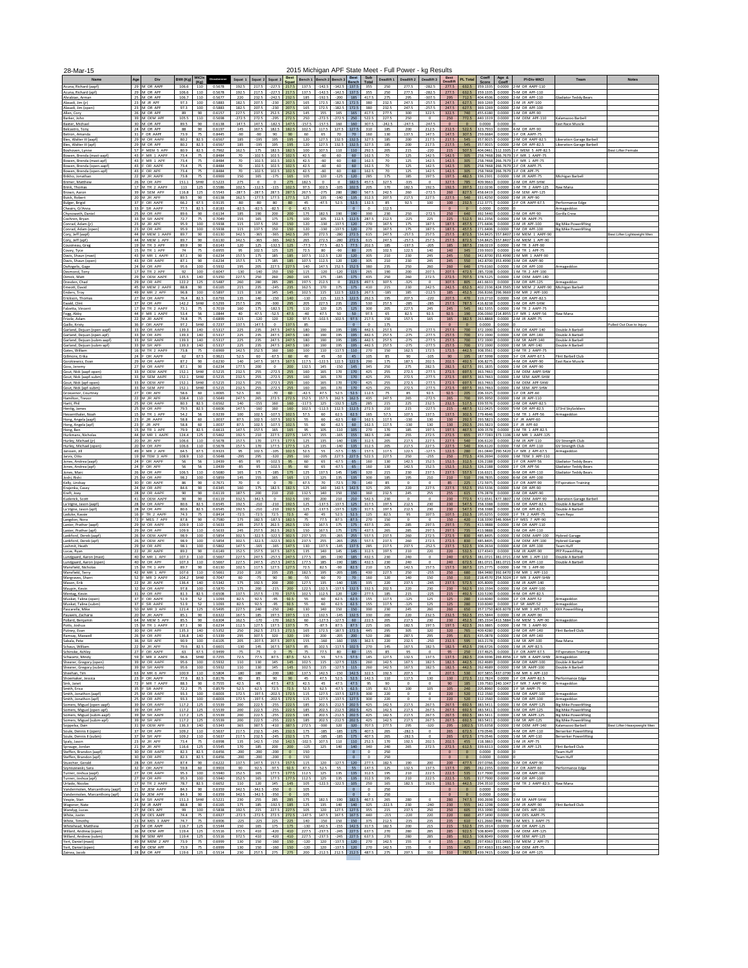| 28-Mar-15                                                                          |                                                  |                         |                    |                                                                                          |                                              |                                  |                                            |                                         |                                                     |                  |                                                                 |                                         |                                          |                         | 2015 Michigan APF State Meet - Full Power - kg Results                          |                             |                                  |                              |                                                  |                      |                                                                                               |                                                                                   |                             |
|------------------------------------------------------------------------------------|--------------------------------------------------|-------------------------|--------------------|------------------------------------------------------------------------------------------|----------------------------------------------|----------------------------------|--------------------------------------------|-----------------------------------------|-----------------------------------------------------|------------------|-----------------------------------------------------------------|-----------------------------------------|------------------------------------------|-------------------------|---------------------------------------------------------------------------------|-----------------------------|----------------------------------|------------------------------|--------------------------------------------------|----------------------|-----------------------------------------------------------------------------------------------|-----------------------------------------------------------------------------------|-----------------------------|
| Name                                                                               | Age<br>Div<br>29 M OR AAPF                       | BWt (Kg)<br>106.6       | (Ka)<br>110        | 0.5678                                                                                   | Clossberger Squat 1 Squat 2 Squat 3<br>192.5 |                                  |                                            |                                         | 2175 -2275 2175 1375 -1425 -1425 1375 355           |                  |                                                                 |                                         |                                          | 250                     | Best Bench 1 Bench 2 Bench 3 Best Sub Deadlift 1 Deadlift 2 Deadlift 3<br>277.5 | $-282.5$                    | Best<br>277.5                    | Deadlift PL Total            | Coeff<br>Score<br>632.5 359.1335                 | Age &<br>Coeff       | PI-Div-WtCl<br>0.0000 2-M OR AAPF-110                                                         | Team                                                                              | Notes                       |
| Acuna, Richard (aapf)<br>Acuna, Richard (apf)<br>Ahrabian, Arman                   | 29 M OR APF<br>25 M OR APF                       | 106.6<br>106.7          | 110<br>110         | 0.5678<br>0.5677                                                                         | 192.5<br>220                                 | 217.5<br>232.5                   |                                            | $-242.5$ 232.5                          | $-227.5$ 217.5 137.5 $-142.5$ $-142.5$ 137.5<br>185 | $-192.5$         | $-200$                                                          | 185                                     | 355<br>417.5                             | 250<br>275              | 277.5<br>295                                                                    | $-282.5$<br>$-307.5$        | 277.5<br>295                     |                              | 632.5 359.1335<br>712.5 404.4506                 |                      | 0.0000 5-M OR APF-110<br>0.0000 2-M OR APF-110                                                | Gladiator Teddy Bears                                                             |                             |
| Alasadi, Jim (jr)<br>Alasadi, Jim (open)                                           | 23 M JR APF<br>23 M OR APF                       | 97.3<br>97.3            | 100<br>100         | 0.5883<br>0.5883                                                                         | 182.5<br>182.5                               | 207.5<br>207.5                   | $-230$<br>$-230$                           | 207.5<br>207.5                          | 165<br>165                                          | 172.5            | 172.5 -182.5<br>$-182.5$                                        | 172.5 380<br>172.5                      | 380                                      | 232.5<br>232.5          | 247.5<br>247.5                                                                  | $-257.5$<br>$-257.5$        | 247.5<br>247.5                   | 627.5<br>627.5               | 369.1269<br>369.1269                             | 0.0000               | 0.0000 1-M JR APF-100<br>-M OR APF-100                                                        |                                                                                   |                             |
| Allen, Cory<br>Barker, John                                                        | 26 M OR APF<br>39 M OEM APF                      | 89<br>105.5             | 90<br>110          | 0.6157<br>0.5698                                                                         | 227.5<br>$-272.5$                            | 237.5<br>272.5                   |                                            | 252.5 252.5<br>$-295$ 272.5             | 145<br>250                                          | 155              | $-272.5$ $-272.5$ 250 522.5                                     |                                         | 165 165 417.5                            | 277.5<br>227.5          | 300<br>250                                                                      | 322.5<br>$^{\circ}$         | 322.5<br>250                     |                              | 740 455.6180<br>772.5 440.1319                   |                      | 0.0000 1-M OR APF-90<br>0.0000 1-M OEM APF-110                                                | Kalamazoo Barbell                                                                 |                             |
| Baxter, Michael<br>Belcastro, Tony                                                 | 30 M OR APF<br>24 M OR APE                       | 89.5<br>88              | 90<br>90           | 0.6138<br>0.6197                                                                         | $-147.5$<br>145                              | 147.5<br>167.5                   | 182.5 182.5                                | $-182.5$ 147.5                          | $-157.5 -157.5$                                     |                  | 102.5 117.5 127.5 127.5 310                                     |                                         | 160 160 307.5                            | $-242.5$<br>185         | $-247.5$<br>200                                                                 | $-247.5$<br>212.5           | $\overline{\mathbf{0}}$<br>212.5 | $\theta$                     | 0.0000<br>522.5 323.7933                         | 0.0000               | 0.0000 4-M OR APF-90                                                                          | East Race Muscle                                                                  |                             |
| Betron, Amanda<br>Bies, Walter III (aapf)                                          | 31 F OR AAPF<br>29 M OR AAPF                     | 73.9<br>80.2            | 75<br>82.5         | 0.8445<br>0.6567                                                                         | $-90$<br>185                                 | $-90$<br>$-195$                  | 90                                         | 90<br>195 195                           | 60<br>120                                           | 65               | 127.5 132.5 132.5 327.5                                         | 70 70                                   | 160                                      | 130<br>185              | 137.5<br>200                                                                    | 147.5<br>217.5              | 147.5<br>217.5                   | 545                          | 307.5 259.6684<br>357.9015                       |                      | 0.0000 1-F OR AAPF-75<br>0.0000 2-M OR AAPF-82.5                                              | Liberation Garage Barbell                                                         |                             |
| Bies, Walter III (apf)<br>Boshoven, Lynne                                          | 29 M OR APF<br>57 F MEM 5 API<br>43 F MR 1 AAPR  | 80.2<br>80.9            | 82.5<br>82.5       | 0.6567<br>0.7962                                                                         | 185<br>162.5                                 | $-195$<br>175                    | 195<br>182.5                               | 195<br>182.5                            | 120<br>100                                          | 107.5            | 127.5 132.5 132.5<br>110                                        | 110                                     | 327.5<br>292.5                           | 185<br>205              | 200<br>215                                                                      | 217.5<br>$-220$             | 217.5<br>215                     | 545<br>507.5                 | 357.9015<br>404.0461                             |                      | 0.0000 2-M OR APF-82.5<br>12.3305 1-F MEM 5 APF-82.5                                          | Liberation Garage Barbell                                                         | <b>Best Lifter Female</b>   |
| Bowen, Brenda (mast-aapf)<br>Bowen, Brenda (mast-apf)<br>Bowen, Brenda (open-aapf) | 43 F MR 1 APF<br>43 F OR AAPF                    | 73.4<br>73.4<br>73.4    | 75<br>75<br>75     | 0.8484<br>0.8484<br>0.8484                                                               | 70<br>70<br>70                               | $-102.5$<br>$-102.5$<br>$-102.5$ | 102.5                                      | 102.5<br>102.5 102.5<br>102.5 102.5     | 42.5<br>42.5<br>42.5                                | $-60$<br>$-60$   | 60<br>$-60$ 60 60 162.5<br>60                                   | 60<br>60                                | 162.5<br>162.5                           | 70<br>70<br>70          | 125<br>125<br>125                                                               | 142.5<br>142.5<br>142.5     | 142.5<br>142.5<br>142.5          | 305<br>305                   | 258.7468<br>305 258.7468<br>258,7468             | 266.7679             | 1-F MR 1 AAPF-75<br>266.7679 1-F MR 1 APF-75<br>66.7679 2-F OR AAPF-75                        |                                                                                   |                             |
| Bowen, Brenda (open-apf)<br>Brikho, Jonathan                                       | 43 F OR APF<br>22 M JR AAPF                      | 73.4<br>73.8            | 75<br>75           | 0.8484<br>0.6969                                                                         | 70<br>150                                    | $-102.5$<br>165                  |                                            | 102.5 102.5<br>$-175$ 165               | 42.5<br>105                                         | $-60$<br>120     | 60<br>$-125$                                                    | 120                                     | 60 162.5<br>285                          | 70<br>175               | 125<br>185                                                                      | 142.5<br>197.5              | 142.5<br>197.5                   | 305                          | 482.5 336.230                                    |                      | 258.7468 266.7679 1-F OR APF-75<br>0.0000 1-M JR AAPF-75                                      | Michigan Barbell                                                                  |                             |
| Brimer, Matthew<br>Brink, Thomas                                                   | 26 M OR APF<br>17 M TR 2 AAPF                    | 151.1<br>113            | SHW<br>125         | 0.5223<br>0.5586                                                                         | 275<br>102.5                                 | $\overline{0}$<br>$-112.5$       | $\circ$<br>$-115$                          | 275<br>102.5                            | 182.5<br>97.5                                       | $\circ$<br>102.5 |                                                                 | $-105$ 102.5                            | 0 182.5 457.5<br>205                     | 327.5<br>170            | $-335$<br>182.5                                                                 | $\circ$<br>192.5            | 327.5<br>192.5                   |                              | 785 409.9663<br>397.5 222.0236                   |                      | 0.0000 2-M OR APF-SHW<br>0.0000 1-M TR 2 AAPF-125                                             | Raw Mana                                                                          |                             |
| Brown, Aaron<br><b>Buick, Robert</b>                                               | 39 M SEM APF<br>20 M JR APF                      | 116.8<br>89.5           | 125<br>90          | 0.5543<br>0.6138                                                                         | $-287.5$<br>162.5                            | $-287.5$<br>$-177.5$             | 287.5<br>177.5                             | 287.5<br>177.5                          | 267.5<br>125                                        | $-275$           | 280<br>135 -140 135 312.5                                       | 280                                     | 567.5                                    | 242.5<br>207.5          | 260<br>217.5                                                                    | $-272.5$<br>227.5           | 260<br>227.5                     | 827.5                        | 458.6419<br>540 331.4250                         | 0.0000               | M SEM APF-125<br>0.0000 1-M JR APF-90                                                         |                                                                                   |                             |
| Bulger, Brigid<br>Cheairs, Gi'Anna                                                 | 37 F OR AAPF<br>33 F SR AAPF<br>25 M OR APF      | 66.2<br>77.5<br>89.6    | 67.5<br>82.5<br>90 | 0.9135<br>0.8183<br>0.6134                                                               | $-80$<br>$-82.5$<br>185                      | $-80$<br>$-82.5$<br>190          | 80<br>$-82.5$<br>200                       | 80<br>$\overline{0}$<br>200             | 45<br>42.5<br>175                                   | $-47.5$<br>182.5 | 190                                                             | $\overline{0}$<br>190                   | 52.5 52.5 132.5<br>$\overline{0}$<br>390 | 85<br>112.5<br>230      | 92.5<br>250                                                                     | 100<br>$-272.5$             | 100<br>$\mathbf{0}$<br>250       | $\theta$<br>640              | 232.5 212.377<br>0.0000<br>392,5440              | 0.0000               | 0.0000 2-F OR AAPF-67.5<br>0.0000 2-M OR APF-90                                               | Performance Edge<br>Armageddon<br>Gorilla Crew                                    |                             |
| Chynoweth, Daniel<br>Cochren, Bryan<br>Conrad, Adam (jr)                           | 33 M SR AAPF<br>23 M JR APF                      | 72.7<br>95.9            | 75<br>100          | 0.7049<br>0.5938                                                                         | 155<br>115                                   | 165<br>137.5                     |                                            | 175 175<br>150 150                      |                                                     |                  | 100 105 1125 1125 2875<br>120 -130 -137.5 120                   |                                         | 270                                      | 212.5<br>167.5          | $-225$<br>175                                                                   | 225<br>187.5                | 225<br>187.5                     |                              | 512.5 361.2356<br>457.5 271.6406                 |                      | 0.0000 1-M SR AAPF-75<br>0.0000 2-M JR APF-100                                                | <b>Big Mike Powerlifting</b>                                                      |                             |
| Conrad, Adam (open)<br>Cory, Jeff (aapf)                                           | 23 M OR APF<br>44 M MEM 1 AAPF                   | 95.9<br>89.7            | 100<br>90          | 0.5938<br>0.6130                                                                         | 115<br>342.5                                 | 137.5<br>$-365$                  | $-365$                                     | 150 150<br>342.5                        | 120<br>265                                          | $-130$<br>272.5  | $-280$                                                          | $-137.5$ 120<br>272.5                   | 270<br>615                               | 167.5<br>247.5          | 175<br>$-257.5$                                                                 | 187.5<br>257.5              | 187.5<br>257.5                   |                              | 457.5 271.6406<br>872.5 534.8425                 |                      | 0.0000 7-M OR APF-100<br>57.8407 1-M MEM 1 AAPF-90                                            | <b>Big Mike Powerlifting</b>                                                      | Best Lifter Lightweight Mer |
| Cory, Jeff (apf)<br>Cousineau, Greg                                                | 44 M MEM 1 APR<br>19 M TR 3 APF                  | 89.7<br>89.9            | 90<br>90           | 0.6130<br>0.6143                                                                         | 342.5<br>120                                 | $-365$<br>125                    | $-365$<br>$-132.5$                         | 342.5<br>125                            | 265<br>$-77.5$                                      | 272.5<br>77.5    | $-280$                                                          | 272.5<br>$-82.5$ 77.5                   | 615<br>202.5                             | 247.5<br>185            | $-257.5$<br>$-197.5$                                                            | 257.5<br>$-205$             | 257.5<br>185                     | 872.5                        | 534.8425<br>387.5 238.0219                       |                      | 57.8407 1-M MEM 1 APF-90<br>0.0000 1-M TR 3 APF-90                                            |                                                                                   |                             |
| Covey, Tyce<br>Davis, Shaun (mast)                                                 | 15 M TR 1 APF<br>43 M MR 1 AAPF<br>43 M OR AAPF  | 74<br>87.1<br>87.1      | 75<br>90<br>90     | 0.6955<br>0.6234<br>0.6234                                                               | 95<br>157.5<br>157.5                         | 102.5<br>175<br>175              | 125<br>185                                 | 125<br>185 185<br>185                   | 72.5<br>107.5<br>107.5 112.5                        | 80               | $-90$<br>112.5 120 120 305<br>120                               | 80                                      | 205<br>120 305                           | 102.5<br>210<br>210     | 122.5<br>230<br>230                                                             | 140<br>245<br>245           | 140<br>245<br>245                | 345<br>550<br>550            | 239.9303<br>342.8700<br>342,8700                 | 0.0000<br>353,4990   | 1-M TR 1 APF-75<br>1-M MR 1 AAPF-90<br>353.4990 3-M OR AAPF-90                                |                                                                                   |                             |
| Davis, Shaun (open)<br>DeAngelis, Gage                                             | 24 M OR APF<br>17 M TR 2 APF                     | 95.6<br>92              | 100<br>100         | 0.5932<br>0.6047                                                                         | 195<br>$-130$                                | 205<br>$-140$                    |                                            | 227.5 227.5<br>150 150                  | 115                                                 | $-120$           | 140 147.5 152.5 152.5 380                                       | $-120$ 115                              | 265                                      | 235<br>190              | 250<br>200                                                                      | 260<br>207.5                | 260<br>207.5                     |                              | 640 379,6160<br>472.5 285.7208                   |                      | 0.0000 1-M OR APF-100<br>0.0000 1-M TR 2 APF-100                                              | Armageddon                                                                        |                             |
| Desmond, Tony<br>Dimick, Matt<br>Dresden, Chad                                     | 29 M OEM AAPF<br>29 M OR APF                     | 135.5<br>122.2          | 140<br>125         | 0.5350<br>0.5487                                                                         | 227.5<br>260                                 | 250<br>280                       | 260<br>285                                 | 260<br>285                              | 165<br>197.5                                        | 175<br>212.5     |                                                                 | $-185$ 175<br>212.5 497.5               | 435                                      | 250<br>307.5            | 260<br>$-325$                                                                   | 272.5                       | 272.5<br>307.5                   | 805                          | 707.5 378.5125<br>441.663                        |                      | 0.0000 1-M OEM AAPF-140<br>0.0000 1-M OR APF-125                                              | Armageddor                                                                        |                             |
| Emeott, David<br>Enders, Troy                                                      | 45 M MEM 2 AAPF<br>49 M MR 2 APF                 | 88.8<br>96.8            | 90<br>100          | 0.6165<br>0.5897                                                                         | 215<br>115                                   | 235<br>130                       | $-245$                                     | 235<br>145 145                          | 162.5<br>102.5                                      | 170              | 175<br>115 122.5 122.5 267.5                                    | 175                                     | 410                                      | 215<br>$-185$           | 230<br>185                                                                      | 242.5<br>$-212.5$           | 242.5<br>185                     | 652.5                        | 402.2336<br>452.5 266.8166                       | 124.3565<br>296.9669 | 1-M MEM 2 AAPF-90 Michigan Barbel<br>1-M MR 2 APF-100                                         |                                                                                   |                             |
| Erickson, Thoma<br>Ewald, Clint                                                    | 27 M OR AAPF<br>37 M OR APF                      | 76.4<br>142.2           | 82.5<br>SHW        | 0.6793<br>0.5293                                                                         | 135<br>257.5                                 | 140<br>295                       | $-150$<br>$-300$                           | 140<br>295                              | $-110$<br>205                                       | 115<br>227.5     | 122.5 122.5                                                     | 235 235                                 | 262.5<br>530                             | 195<br>257.5            | 207.5<br>$-285$                                                                 | $-220$<br>$-285$            | 207.5<br>257.5                   | 470                          | 319,2710<br>787.5 416.8238                       |                      | 0.0000 3-M OR AAPF-82.5<br>0.0000 1-M OR APF-SHW<br>0.0000 1-M TR 2 AAPE-75                   |                                                                                   |                             |
| Falzetta, Vincent<br>Fogg, Abby<br>Frizzle, Adam                                   | 17 M TR 2 AAPF<br>44 F MR 1 AAPF<br>22 M JR AAPF | 73.1<br>53.4<br>74.8    | 75<br>56<br>75     | 0.7019<br>1.0844<br>0.6899                                                               | 160<br>40<br>115                             | 175<br>47.5<br>$-120$            |                                            | $-182.5$ 175<br>$-52.5$ 47.5<br>120 120 | 110 120<br>$-40$<br>97.5                            | 47.5             | $-102.5$ $-102.5$ 97.5 217.5                                    | 125 125<br>50 50                        | 300<br>97.5                              | 205<br>65<br>150        | 227.5<br>82.5<br>157.5                                                          | 245<br>92.5<br>165          | 245<br>92.5<br>165               |                              | 545 382,5355<br>190 206.0360<br>382.5 263.8868   |                      | 214.8955 1-F MR 1 AAPF-56 Raw Mana<br>0.0000 2-M JR AAPF-75                                   |                                                                                   |                             |
| Gaillo, Kristy<br>Garland, Dejuan (open-aapf)                                      | OR AAPF<br>33 M OR AAPF                          | 97.2<br>139.3           | SHW<br>140         | 0.7237<br>0.5317                                                                         | 137.5<br>225                                 | $-147.5$<br>235                  | $\circ$<br>247.5                           | 137.5<br>247.5                          | 85<br>180                                           | 190              | 195                                                             | 195 442.5                               | $\circ$                                  | 175<br>257.5            | $-275$                                                                          | $-277.5$                    | $\mathbf 0$<br>257.5             | $\mathbf 0$                  | 0.0000<br>700 372,1900                           | 0.0000               | 0.0000 1-M OR AAPF-140                                                                        | Double A Barbell                                                                  | ulled Out Due to Injury     |
| Garland, Dejuan (open-apf)<br>Garland, Dejuan (subm-aapf)                          | 33 M OR APF<br>33 M SR AAPF                      | 139.3<br>139.3          | 140<br>140         | 0.5317<br>0.5317                                                                         | 225<br>225                                   | 235<br>235                       | 247.5                                      | 247.5<br>247.5 247.5                    | 180<br>180                                          | 190              | 195<br>190 195 195 442.5                                        | 195                                     | 442.5                                    | 257.5<br>257.5          | $-275$<br>$-275$                                                                | $-277.5$<br>$-277.5$        | 257.5<br>257.5                   | 700                          | 372.1900<br>700 372.1900                         |                      | 0.0000 3-M OR APF-140<br>0.0000 1-M SR AAPF-140                                               | Double A Barbell<br>Double A Barbell                                              |                             |
| Garland, Dejuan (subm-apf)<br>Gates, William                                       | 33 M SR APF<br>16 M TR 2 AAPF                    | 139.3<br>73.8           | 140<br>75          | 0.5317<br>0.6969                                                                         | 225<br>142.5                                 | 235<br>152.5                     | 247.5<br>160                               | 247.5<br>160                            | 180<br>100                                          | 190<br>110       | 195<br>$-117.5$ 110 270                                         | 195                                     | 442.5                                    | 257.5<br>150            | $-275$<br>162.5                                                                 | $-277.5$<br>172.5           | 257.5<br>172.5                   | 700                          | 372.1900<br>442.5 308.3561                       |                      | 0.0000 1-M SR APF-140<br>0.0000 2-M TR 2 AAPF-75                                              | Double A Barbell                                                                  |                             |
| Gilmore, Erika<br>Gorzkiewicz, Evan                                                | 24 F OR AAPF<br>29 M OR AAPF<br>27 M OR AAPF     | 62<br>87.2<br>87.1      | 67.5<br>90<br>90   | 0.9621<br>0.6230<br>0.6234                                                               | 52.5<br>140<br>177.5                         | 60<br>147.5<br>200               | $\circ$                                    | $-675$ 60<br>167.5 167.5<br>200         | 40<br>117.5<br>132.5                                | 45<br>145        | $-122.5$ 122.5 122.5                                            | $-50$ 45<br>$-150$ 145                  | 105<br>290<br>345                        | 85<br>175<br>250        | 90<br>187.5<br>275                                                              | $-105$<br>202.5<br>282.5    | 90<br>202.5<br>282.5             |                              | 195 187,5998<br>492.5 306.8275<br>627.5 391.1835 |                      | 0.0000 3-F OR AAPF-67.5<br>0.0000 4-M OR AAPF-90<br>0.0000 1-M OR AAPF-90                     | Flint Barbell Club<br>East Race Muscle                                            |                             |
| Goss, Jeremy<br>Gout, Nick (aapf-open)<br>Gout, Nick (aapf-subm)                   | 33 M OEM AAPI<br>33 M SEM AAPF                   | 152.1<br>152.1          | SHW<br>SHW         | 0.5215<br>0.5215                                                                         | 232.5<br>232.5                               | 255<br>255                       | $-272.5$                                   | 255<br>$-272.5$ 255                     | 160<br>160                                          | 165<br>165       | 170                                                             | 170<br>170 170                          | 425<br>425                               | 255<br>255              | 272.5<br>272.5                                                                  | $-277.5$<br>$-277.5$        | 272.5<br>272.5                   | 697.5                        | 363.746<br>697.5 363.7463                        |                      | 0.0000 1-M OEM AAPF-SHW<br>0.0000 1-M SEM AAPF-SHW                                            |                                                                                   |                             |
| Gout, Nick (apf-open)<br>Gout, Nick (apf-subm)                                     | 33 M OEM APF<br>33 M SEM APF                     | 152.1<br>152.1          | SHW<br>SHW         | 0.5215<br>0.5215                                                                         | 232.5<br>232.5                               | 255<br>255                       | $-272.5$                                   | $-272.5$ 255<br>255                     | 160<br>160                                          | 165<br>165       |                                                                 | 170 170<br>170 170                      | 425<br>425                               | 255<br>255              | 272.5<br>272.5                                                                  | $-277.5$<br>$-277.5$        | 272.5<br>272.5                   | 697.5                        | 363.7463<br>697.5 363.7463                       |                      | 0.0000 1-M OEM APF-SHW<br>0.0000 1-M SEM APF-SHW                                              |                                                                                   |                             |
| Grosvenor, Courtney<br>Hamilton, Trevor                                            | 27 F OR APE<br>22 M JR APF                       | 58.6<br>108.4           | 60<br>110          | 1.0065<br>0.5649                                                                         | 52.5<br>247.5                                | 60<br>265                        | $-70$                                      | 60<br>$2725 - 2725$                     | $-42.5$<br>152.5                                    | 47.5             | 52.5<br>157.5 162.5 162.5 435                                   |                                         | 52.5 112.5                               | 75<br>247.5             | 85<br>265                                                                       | 92.5<br>$-272.5$            | 92.5<br>265                      | 205                          | 206.3325<br>700 3953950                          |                      | 0.0000 1-F OR APF-60<br>0.0000 1-M IR APF-110                                                 |                                                                                   |                             |
| Hartt, Phil<br>Hentig, James<br>Hessenthaler, Noah                                 | 25 M OR AAPF<br>25 M OR APF<br>15 M TR 1 APF     | 80.3<br>79.5<br>54.2    | 82.5<br>82.5<br>56 | 0.6562<br>0.6606<br>0.9239                                                               | 140<br>147.5<br>100                          | $-155$<br>$-160$<br>102.5        | 160<br>$-107.5$                            | 160 160<br>160<br>102.5                 | $-117.5$ 125<br>57.5                                | 60               | $-132.5$ 125<br>102.5 -112.5 112.5 112.5 272.5<br>62.5          | 62.5                                    | 285<br>165                               | 215<br>210<br>57.5      | 225<br>215<br>107.5                                                             | 232.5<br>$-227.5$<br>137.5  | 232.5<br>215<br>137.5            | 302.5                        | 517.5 339.5576<br>487.5 322.0425<br>279.4646     |                      | 0.0000 2-M OR AAPF-82.5<br>0.0000 5-M OR APF-82.5<br>0.0000 1-M TR 1 APF-56                   | 173rd SkySoldiers                                                                 |                             |
| Hong, Angela (aapf)<br>Hong, Angela (apf)                                          | 23 F JR AAPF<br>23 F JR APF                      | 58.8<br>58.8            | 60<br>60           | 1.0037<br>1.0037                                                                         | 87.5<br>87.5                                 | 102.5<br>102.5                   | $-107.5$                                   | 102.5<br>$-107.5$ 102.5                 | 55<br>55                                            | 60<br>60         | $-62.5$                                                         | 60                                      | 162.5<br>$-62.5$ 60 162.5                | 117.5<br>117.5          | $-130$<br>$-130$                                                                | 130<br>130                  | 130<br>130                       | 292.5                        | 293.5823<br>292.5 293.5823                       |                      | 0.0000 1-F JR AAPF-60<br>0.0000 1-F JR APF-60                                                 | Armageddon                                                                        |                             |
| Hong, Ben<br>Hurkmans, Nicholas                                                    | 15 M TR 1 APF<br>44 M MR 1 AAPF                  | 79.9<br>124.4           | 82.5<br>125        | 0.6613<br>0.5462                                                                         | 147.5<br>192.5                               | 157.5<br>210                     | 165<br>227.5                               | 165<br>227.5                            | 95<br>147.5                                         | 105<br>155       | $-165$                                                          | $-110$ 105                              | 270<br>155 382.5                         | 170<br>240              | 185<br>255                                                                      | 197.5<br>272.5              | 197.5<br>272.5                   |                              | 467.5 309.1578<br>655 357.7283                   | 0.0000               | 1-M TR 1 APF-82.5<br>373.1106 1-M MR 1 AAPF-125                                               |                                                                                   |                             |
| Hurley, Michael (jr)<br>Hurley, Michael (open)                                     | 20 M JR APF<br>20 M OR APF                       | 106.6<br>106.6          | 110<br>110         | 0.5678<br>0.5678                                                                         | 157.5<br>157.5                               | 170<br>170                       | 177.5 177.5                                | 177.5 177.5                             | 125                                                 |                  | 125 135 -140 135 312.5<br>135 -140 135 312.5                    |                                         |                                          | 205<br>205              | 217.5<br>217.5                                                                  | 227.5<br>227.5              | 227.5<br>227.5                   |                              | 540 306.6120<br>540 306,6120                     |                      | 0.0000 2-M JR APF-110<br>0.0000 7-M OR APF-110                                                | <b>GV Strength Club</b><br>GV Strength Club                                       |                             |
| Janssen, Jill<br>Jarvis, Otto<br>Jones, Andrea (aapf)                              | 49 F MR 2 APF<br>19 M TEM 3 APR<br>24 F OR AAPF  | 64.5<br>108.9<br>56     | 67.5<br>110<br>56  | 0.9323<br>0.5648<br>1.0439                                                               | 95<br>$-295$<br>$-85$                        | 102.5<br>295<br>95               | $-320$<br>$-102.5$                         | $-105$ 102.5<br>295<br>95               | 52.5<br>160<br>60                                   | 55<br>65         | $-205$ 227.5 227.5<br>$-67.5$                                   | $-57.5$ 55<br>65                        | 157.5<br>522.5<br>160                    | 117.5<br>227.5<br>130   | 122.5<br>250<br>142.5                                                           | $-127.5$<br>$-255$<br>152.5 | 122.5<br>250<br>152.5            |                              | 280 261.0440<br>772.5 436.2694<br>312.5 326.2188 |                      | 290.5420 1-F MR 2 APF-67.5<br>0.0000 1-M TEM 3 APF-110<br>0.0000 1-F OR AAPF-56               | Armageddon<br>Gladiator Teddy Bears                                               |                             |
| Jones, Andrea (apf)<br>Jones, Marc                                                 | 24 F OR APF<br>26 M OR APF                       | 56<br>106.5             | 56<br>110          | 1.0439<br>0.5680                                                                         | $-85$<br>165                                 | 95<br>175                        | $-102.5$                                   | 95<br>$-185$ 175                        | 60<br>125                                           | 65               | $-67.5$<br>137.5 145 145                                        | 65                                      | 160<br>320                               | 130<br>215              | 142.5<br>230                                                                    | 152.5<br>237.5              | 152.5<br>237.5                   | 312.5                        | 326.2188<br>557.5 316.6321                       |                      | 0.0000 1-F OR APF-56<br>0.0000 6-M OR APF-110                                                 | Gladiator Teddy Bears<br>Gladiator Teddy Bears                                    |                             |
| Joshi, Rishi<br>Kelly, Lindsay                                                     | 25 M OR APF<br>30 F OR AAPF                      | 98.2<br>86              | 100<br>90          | 0.5859<br>0.7671                                                                         | 145<br>70                                    | 155<br>$^{\circ}$                | 165<br>$\circ$                             | 165<br>70                               | 115<br>67.5                                         | 125<br>70        | 135<br>$-72.5$                                                  | 135<br>70                               | 300<br>140                               | 185<br>85               | 195<br>$\circ$                                                                  | 210<br>$^{\circ}$           | 210<br>85                        | 510<br>225                   | 298.783<br>172,5975                              |                      | 0.0000 6-M OR APF-100<br>0.0000 1-F OR AAPF-90                                                | <b>FITspiration Training</b>                                                      |                             |
| Krajenka, Casey<br>Kreft, Joey                                                     | 24 M OR APF<br>28 M OR AAPF                      | 84.6<br>90              | 90<br>90           | 0.6345<br>0.6119                                                                         | 160<br>187.5                                 | 175<br>200                       |                                            | 182.5 182.5<br>210 210                  | 125<br>132.5                                        | 140              | 140 142.5 142.5                                                 | 150 150                                 | 325<br>360                               | 205<br>232.5            | 220<br>245                                                                      | 227.5<br>255                | 227.5<br>255                     |                              | 552.5 350.5336<br>615 376.2878                   |                      | 0.0000 3-M OR APF-90<br>0.0000 2-M OR AAPF-90                                                 |                                                                                   |                             |
| Kuderick, Scott<br>La Vigne, Jason (aapf)<br>La Vigne, Jason (apf)                 | 41 M OEM AAPF<br>28 M OR AAPF<br>28 M OR APF     | 90<br>80.6<br>80.6      | 90<br>82.5<br>82.5 | 0.6119<br>0.6545<br>0.6545                                                               | 332.5<br>192.5<br>192.5                      | $-342.5$<br>$-210$<br>$-210$     | $\circ$<br>$-210$<br>$-210$                | 332.5<br>192.5<br>192.5                 | 190<br>125<br>125                                   | 200<br>$-137.5$  | 210<br>$-137.5$<br>$-137.5 -137.5$ 125 317.5                    | 125                                     | 210 542.5<br>317.5                       | 230<br>197.5<br>197.5   | $\circ$<br>212.5<br>212.5                                                       | $\circ$<br>230<br>230       | 230<br>230<br>230                | 547.5<br>547.5               | 772.5 472.6541<br>358.3388<br>358.3388           |                      | 177.3807 1-M OEM AAPF-90<br>0.0000 1-M OR AAPF-82.5<br>0.0000 1-M OR APF-82.5                 | Liberation Garage Barbell<br>Double A Barbel<br>Double A Barbell                  |                             |
| Laduke, Kassie<br>Langdon, Nora                                                    | 16 F TR 2 AAPF<br>72 F MES 7 APF                 | 74.3<br>87.8            | 75<br>90           | 0.8414<br>0.7580                                                                         | $-72.5$<br>175                               | $-72.5$<br>182.5                 |                                            | 72.5 72.5<br>$-187.5$ 182.5             | 40<br>75                                            | 45               | 77.5 87.5 87.5                                                  | 52.5 52.5                               | 125<br>270                               | 82.5<br>150             | 95<br>$\circ$                                                                   | 107.5<br>$^{\circ}$         | 107.5<br>150                     |                              | 232.5 195.625<br>420 318.3390                    | 546.9064             | 0.0000 1-F TR 2 AAPF-75<br>1-F MES 7 APF-90                                                   | Team Repz                                                                         |                             |
| Lanier, Prather (aapf)<br>Lanier, Prather (apf)                                    | 29 M OR AAPF<br>29 M OR APF                      | 109.9<br>109.9          | 110<br>110         | 0.5633<br>0.5633                                                                         | 245<br>245                                   | 257.5<br>257.5                   | 262.5 262.5                                | 262.5 262.5                             | 150                                                 | 167.5            | 175<br>150 167.5 175 175 437.5                                  |                                         | 175 437.5                                | 265<br>265              | 285<br>285                                                                      | 297.5<br>297.5              | 297.5<br>297.5                   |                              | 735 413.9888<br>735 413,9888                     |                      | 0.0000 1-M OR AAPF-110<br>0.0000 1-M OR APF-110                                               |                                                                                   |                             |
| Lankford, Derek (aapf)<br>Lankford, Derek (apf)                                    | 26 M OEM AAPF<br>26 M OEM APF                    | 98.9<br>98.9            | 100<br>100         | 0.5854<br>0.5854                                                                         | 302.5<br>302.5                               | $-322.5$<br>$-322.5$             | $-322.5$ 302.5                             | $-322.5$ 302.5                          | 237.5 255<br>237.5                                  | 255<br>137.5     |                                                                 | $-265$ 255<br>137.5                     | $-265$ 255 557.5<br>557.5                | 237.5<br>237.5          | 260<br>260                                                                      | 272.5<br>272.5              | 272.5<br>272.5                   | 830                          | 830 485.8405<br>485.8405                         |                      | 0.0000 1-M OEM AAPF-100 Hybred Garage<br>0.0000 1-M OEM APF-100                               | <b>Hybred Garage</b>                                                              |                             |
| Lashmit, Heath<br>Lucas, Ryan<br>Lundgaard, Aaron (mast)                           | 29 M OR APF<br>22 M JR AAPF<br>40 M MR 1 APF     | 98.1<br>89.2<br>107.3   | 100<br>90<br>110   | 0.5862<br>0.6149<br>0.5667                                                               | 147.5<br>152.5<br>227.5                      | $-165$<br>157.5<br>247.5         | $-165$<br>167.5                            | 147.5<br>167.5<br>$-257.5$ 247.5        | 130<br>135<br>177.5                                 | 140<br>185       | $-145$<br>145<br>$-190$                                         | 145                                     | 285<br>312.5<br>185 432.5                | 217.5<br>197.5<br>230   | 237.5<br>210<br>240                                                             | $-252.5$<br>220<br>$\circ$  | 237.5<br>220<br>240              | 532.5                        | 522.5 306.2634<br>327.4343<br>672.5 381.0721     |                      | 0.0000 4-M OR APF-100<br>0.0000 3-M JR AAPF-90<br>381.0721 2-M MR 1 APF-110                   | Team Huff<br><b>PFP Powerlifting</b><br>Double A Barbell                          |                             |
| Lundgaard, Aaron (open)<br>Mansfield, Nicholas                                     | 40 M OR APF<br>15 M TR 1 APF                     | 107.3<br>89.7           | 110<br>90          | 0.5667<br>0.6130                                                                         | 227.5<br>102.5                               | 247.5<br>117.5                   |                                            | $-257.5$ 247.5<br>127.5 127.5           | 177.5<br>72.5                                       | 185<br>82.5      |                                                                 | $-90$ 82.5                              | $-190$ 185 432.5<br>210                  | 230<br>125              | 240<br>142.5                                                                    | $\circ$<br>157.5            | 240<br>157.5                     | 672.5<br>367.5               | 381.0721<br>225.2775                             | 381.0721             | 3-M OR APF-110<br>0.0000 1-M TR 1 APF-90                                                      | Double A Barbell                                                                  |                             |
| Mansfield, Terry<br>Margraves, Sharri<br>Mason, Erik                               | 42 M MR 1 APF<br>52 F MR 3 AAPF                  | 107.6<br>104.2          | 110<br>SHW         | 0.5661<br>0.7047                                                                         | 210<br>60                                    | 220<br>$-75$                     | 235<br>90                                  | 235<br>90                               | 182.5<br>$-55$                                      | 195<br>60        | $-205$                                                          | 195<br>70 70                            | 430<br>160                               | 227.5<br>120            | 250<br>140                                                                      | $-255$<br>150               | 250<br>150                       | 680                          | 384,9480                                         |                      | 392.6470 1-M MR 1 APF-110<br>310 218.4570 254.5024 1-F MR 3 AAPF-SHW                          |                                                                                   |                             |
| Maupin, Kevin<br>Mentag, Kevin                                                     | 22 M JR AAPF<br>32 M OR AAPF<br>31 M OR APF      | 136.4<br>97.8<br>81.3   | 140<br>100<br>82.5 | 0.5342<br>0.5870<br>0.6508                                                               | 175<br>175<br>137.5                          | 192.5<br>200<br>157.5            | $-170$                                     | 200 200<br>$-215$ 200<br>157.5          | 127.5 135<br>122.5 132.5<br>102.5                   | 112.5            |                                                                 | $-140$ 135<br>$-137.5$ 132.5<br>120 120 | 335<br>332.5<br>277.5                    | 220<br>202.5<br>185     | 237.5<br>220<br>215                                                             | $-245$<br>230<br>$-225$     | 237.5<br>230<br>215              | 492.5                        | 572.5 305.8009<br>562.5 330.1594<br>320.5190     |                      | 0.0000 1-M JR AAPF-140<br>0.0000 1-M OR AAPF-100<br>0.0000 4-M OR APF-82.5                    |                                                                                   |                             |
| Muskat, Taline (open)<br>Muskat, Taline (subm)                                     | 37 F OR AAPF<br>37 F SR AAPF                     | 51.9<br>51.9            | 52<br>52           | 1.1093<br>1.1093                                                                         | 82.5<br>82.5                                 | 92.5<br>92.5                     | $-95$                                      | 92.5<br>$-95$ 92.5                      | 55                                                  | 60               | 62.5<br>55 60 62.5 62.5 155                                     | 62.5                                    | 155                                      | 117.5<br>117.5          | $-125$<br>$-125$                                                                | 125<br>125                  | 125<br>125                       | 280                          | 310.6040                                         | 0.0000               | I-F OR AAPF-52<br>280 310.6040 0.0000 1-F SR AAPF-52                                          | Armageddon<br>Armageddon                                                          |                             |
| Pascarella, Mike<br>Pauwels, Zacharia                                              | 50 M MR 3 APF<br>20 M JR AAPF                    | 85.1                    | 121.4 125<br>90    | 0.5495<br>0.6322                                                                         | 227.5<br>167.5                               | 240                              | $-250$<br>185 197.5 197.5                  | 240                                     | 130 140                                             |                  | 115 132.5 -145 132.5 330                                        | 150 150                                 | 390                                      | 230<br>200              | 245<br>220                                                                      | 260                         | 260                              | 650                          | 357.1750                                         |                      | 403.6078 1-M MR 3 APF-125<br>232.5 232.5 562.5 355.5844 0.0000 1-M JR AAPF-90                 | XXX Powerlifting                                                                  |                             |
| Pollard, Benjamin<br>Potts, Joshua                                                 | 64 M MEM 5 APF 85.5 90<br>15 M TR 1 AAPF 87.1    |                         | 90<br>135.3 140    | 0.6304                                                                                   | 0.6234 112.5 127.5 137.5 137.5               |                                  | 162.5 -170 -170 162.5<br>262.5 272.5 272.5 |                                         |                                                     |                  | 60 -127.5 -127.5 60<br>75 -87.5 87.5 87.5 225                   |                                         | 222.5                                    | 205<br>165              | 217.5<br>182.5                                                                  | 230<br>197.5                | 230<br>197.5                     |                              |                                                  |                      | 452.5 285.2334 413.5884 1-M MEM 5 APF-90 Armageddor<br>422.5 263.3865 0.0000 1-M TR 1 AAPF-90 |                                                                                   |                             |
| Putney, Evan<br>Ramsay, Maxwell<br>Sabala, Pete                                    | 30 M OR APF<br>26 M OR APF<br>36 M SR APF        | 136.8<br>90.9           | 140<br>100         | 0.5352<br>0.5339<br>0.6105                                                               | 250<br>295<br>205                            | 307.5<br>$-207.5$                | 320<br>207.5                               | 320<br>207.5                            | 190<br>155                                          | 200              | 165 172.5 -187.5 172.5 445<br>$-205$<br>$-160$ $-160$ 155 362.5 | 200                                     | 520                                      | 295<br>280<br>220       | 305<br>287.5<br>232.5                                                           | 320<br>295<br>$-250$        | 320<br>295<br>232.5              | 815<br>595                   | 435.0878<br>363.2178                             |                      | 765 409.4280 0.0000 2-M OR APF-140<br>0.0000 1-M OR APF-140<br>0.0000 1-M SR APF-100          | Flint Barbell Club<br>Raw Mana                                                    |                             |
| Schaus, William<br>Schinske, Ashley                                                | 22 M JR APF<br>27 F OR AAPF                      | 79.6<br>63              | 82.5<br>67.5       | 0.6601<br>0.9499                                                                         | $-130$<br>$-75$                              | 145<br>75                        | 167.5 167.5<br>$\circ$                     | 75                                      | 85<br>75                                            | 102.5<br>77.5    |                                                                 | $-117.5$ 102.5                          | 270<br>80 80 155                         | 145<br>85               | 167.5<br>95                                                                     | 182.5<br>$\bf{0}$           | 182.5<br>95                      | 452.5                        | 298.6726<br>250 237.4625                         |                      | 0.0000 1-M JR APF-82.5<br>0.0000 1-F OR AAPF-67.5                                             | <b>FITspiration Training</b>                                                      |                             |
| Schwartz, Mindy<br>Shearer, Gregory (open)                                         | 59 F MR 4 AAPF<br>39 M OR AAPE                   | 96.6<br>95.6            | SHW<br>100         | 0.7255<br>0.5932                                                                         | 72.5<br>110                                  | 77.5<br>130                      | 87.5<br>145                                | 87.5                                    | 52.5<br>145 102.5 115 -127.5 115 260                | 55               | 57.5                                                            | 57.5                                    | 145                                      | 127.5<br>142.5          | 132.5<br>167.5                                                                  | 137.5<br>182.5              | 137.5<br>182.5                   | 282.5                        | 204.9396<br>442.5 262.4689                       |                      | 269.4956 1-F MR 4 AAPF-SHW<br>0.0000 4-M OR AAPF-100                                          | Armageddon<br>Double A Barbell                                                    |                             |
| Shearer, Gregory (subm)<br>Sheehan, Tim<br>Shoemaker, Jessica                      | 39 M SR AAPE<br>63 M MR 6 APF<br>23 F OR AAPF    | 95.6<br>100.9<br>77.6   | 100<br>110         | 0.5932<br>0.5804<br>0.8176                                                               | 110<br>$-180$<br>80                          | 130<br>180<br>85                 | 90                                         | $-200$ 180                              | 145 145 102.5 115 -127.5 115 260                    |                  | 137.5 142.5 -150 142.5 322.5<br>45 47.5 52.5 52.5 142.5         |                                         |                                          | 142.5<br>192.5          | 167.5<br>207.5                                                                  | 182.5<br>$^{\circ}$<br>130  | 182.5<br>207.5                   |                              | 442.5 262.4689<br>530 307.5855                   |                      | 0.0000 1-M SR AAPF-100<br>437.0790 1-M MR 6 APF-110<br>0.0000 1-F OR AAPF-82.5                | Double A Barbell<br>Performance Edge                                              |                             |
| Sink, Janet<br>Smith, Erica                                                        | 72 F<br>MR 7 AAPE<br>35 F SR AAPF                | 88.3<br>72.2            | 82.5<br>90<br>75   | 0.7555<br>0.8579                                                                         | 42.5<br>52.5                                 | 45<br>62.5                       | 47.5                                       | 90<br>47.5<br>72.5 72.5                 | 42.5<br>52.5                                        | 45               | 47.5<br>62.5 -67.5 62.5                                         | 47.5                                    | 95<br>135                                | 110<br>90<br>82.5       | 117.5<br>$\,0\,$<br>100                                                         | 105                         | 130<br>90<br>105                 | 185                          | 272.5 222.7824<br>139.7583<br>240 205.8960       |                      | 40.1047 1-F MR 7 AAPF-90<br>0.0000 1-F SR AAPF-75                                             | <b>Armageddon</b>                                                                 |                             |
| Smith, Jonathon (aapf)<br>Smith, Jonathon (apf)                                    | 25 M OR AAPF<br>25 M OR APF                      | 93.3<br>93.3            | 100<br>100         | 0.6003<br>0.6003                                                                         | 172.5<br>172.5                               | $-197.5$<br>$-197.5$             |                                            | $-202.5$ 172.5<br>$-202.5$ 172.5        |                                                     |                  | 115 127.5 -137.5 127.5<br>115 127.5 -137.5 127.5 300            |                                         | 300                                      | 220<br>220              | $\overline{0}$<br>$\Omega$                                                      | $^{\circ}$<br>$\Omega$      | 220<br>220                       | 520                          | 312.1560<br>520 312.1560                         |                      | 0.0000 3-M OR AAPF-100<br>0.0000 5-M OR APF-100                                               | <b>Armageddon</b><br>Armageddon                                                   |                             |
| Somers, Miguel (open-aapf)<br>Somers, Miguel (open-apf)                            | 39 M OR AAPF<br>39 M OR APF                      | 117.2<br>117.2          | 125<br>125         | 0.5539<br>0.5539                                                                         | 200<br>200                                   | 222.5<br>222.5                   |                                            | $-255$ 222.5<br>$-255$ 222.5            |                                                     |                  | 185 202.5 -212.5 202.5<br>185 202.5 -212.5 202.5 425            |                                         | 425                                      | 142.5<br>142.5          | 217.5<br>217.5                                                                  | 267.5<br>267.5              | 267.5<br>267.5                   |                              | 6925 383 5411<br>692.5 383.5411                  |                      | 0.0000 1-M OR AAPF-125<br>0.0000 3-M OR APF-125                                               | <b>Big Mike Powerlifting</b><br><b>Big Mike Powerlifting</b>                      |                             |
| Somers, Miguel (subm-aapf)<br>Somers, Miguel (subm-apf)<br>Soppelsa, Dain          | 39 M SR AAPF<br>39 M SR APF<br>31 M OEM APF      | 117.2<br>117.2<br>136.3 | 125<br>125<br>140  | 0.5539<br>0.5539<br>0.5343                                                               | 200<br>200<br>365                            | 222.5<br>222.5<br>387.5          |                                            | $-255$ 222.5<br>$-255$ 222.5            | $-410$ 387.5 272.5                                  | $-300$           | 185 202.5 -212.5 202.5 425<br>185 202.5 -212.5 202.5            |                                         | 425<br>320 320 707.5                     | 142.5<br>142.5<br>277.5 | 217.5<br>217.5<br>295                                                           | 267.5<br>267.5<br>$-320$    | 267.5<br>267.5<br>295            | 1002.5                       | 692.5 383.5411<br>692.5 383.5411<br>535.6358     |                      | 0.0000 1-M SR AAPF-125<br>0.0000 1-M SR APF-125<br>0.0000 1-M OEM APF-140                     | <b>Big Mike Powerlifting</b><br><b>Big Mike Powerlifting</b><br>Kalamazoo Barbell | Best Lifter Heavyweight Men |
| Soule, Dennis II (open)<br>Soule, Dennis II (subm)                                 | 37 M OR APF<br>37 M SR APF                       | 109.2<br>109.2          | 110<br>110         | 0.5637<br>0.5637                                                                         | 217.5<br>217.5                               | 232.5<br>232.5                   | $-245$                                     | 232.5<br>$-245$ 232.5                   | 175<br>175                                          | $-185$<br>$-185$ | $-185$                                                          |                                         | 175 407.5<br>$-185$ 175 407.5            | 265<br>265              | $-282.5$<br>$-282.5$                                                            | $\circ$<br>$^{\circ}$       | 265<br>265                       | 672.5                        | 379.0546<br>672.5 379.0546                       |                      | 0.0000 4-M OR APF-110<br>0.0000 1-M SR APF-110                                                | <b>Berserker Powerlifting</b><br>Berserker Powerlifting                           |                             |
| Spaly, Jason<br>Sprauge, Jordan                                                    | 23 M JR APF<br>21 M JR APF                       | 73.4<br>116.6           | 75<br>125          | 0.6998<br>0.5545                                                                         | 135<br>170                                   | 142.5<br>185                     |                                            | $-150$ 142.5<br>200 200                 | $-102.5$ 107.5                                      |                  | $-125$ 125 140 140 340                                          |                                         | 110 110 252.5                            | 170<br>240              | 192.5<br>265                                                                    | 202.5<br>272.5              | 202.5<br>272.5                   |                              | 455 318.386<br>612.5 339.6313                    |                      | 0.0000 1-M JR APF-75<br>0.0000 1-M JR APF-125                                                 | Flint Barbell Club                                                                |                             |
| Steffen, Brandon (aapf)<br>Steffen, Brandon (apf)                                  | 30 M OR AAPF<br>30 M OR APF                      | 82.3<br>82.3            | 82.5<br>82.5       | 0.6456<br>0.6456                                                                         | $-200$<br>$-200$                             | $-200$<br>$-200$                 | $-200$                                     | $\overline{0}$<br>$-200$ 0              | 150<br>150                                          |                  |                                                                 | $\overline{0}$<br>$\overline{0}$        | $\sim$<br>$\sim$                         | 250<br>250              |                                                                                 |                             | $\circ$<br>$\mathbf{0}$          | $\circ$<br>$\theta$          | 0.0000<br>0.0000                                 | 0.0000<br>$0.0000$ 0 |                                                                                               | Team Huff<br>Team Huff                                                            |                             |
| Stuecher, Gerald<br>Szyniszewski, Sara<br>Turner, Joshua (aapf)                    | 28 M OR AAPF<br>32 F OR AAPF<br>27 M OR AAPF     | 87.4<br>59.8<br>95.3    | 90<br>60<br>100    | 0.6222<br>0.9903<br>0.5940                                                               | 137.5<br>90<br>152.5                         | 147.5<br>92.5<br>165             | 157.5 157.5                                | $-97.5$ 92.5<br>177.5 177.5             | 47.5<br>112.5                                       | 52.5<br>125      | 115 120 -127.5 120 277.5<br>55                                  | 55                                      | 147.5<br>135 135 312.5                   | 182.5<br>125<br>195     | 190<br>132.5<br>210                                                             | 200<br>137.5<br>222.5       | 200<br>137.5<br>222.5            | 285<br>535                   | 477.5 297.0766<br>282.2355<br>317.7900           |                      | 0.0000 5-M OR AAPF-90<br>0.0000 1-F OR AAPF-60<br>0.0000 2-M OR AAPF-100                      | Performance Edge                                                                  |                             |
| Turner, Joshua (apf)<br>Urtado, Nicolas                                            | 27 M OR APF<br>17 M TR 2 AAPF                    | 95.3<br>78.7            | 100<br>82.5        | 0.5940<br>0.6652                                                                         | 152.5<br>110                                 | 165<br>120                       | 177.5                                      | 177.5<br>145 145                        | 112.5                                               | 125              | 135<br>105 -122.5 -122.5 105 250                                | 135                                     | 312.5                                    | 195<br>165              | 210<br>182.5                                                                    | 222.5<br>192.5              | 222.5<br>192.5                   | 535                          | 317.7900<br>442.5 294.3510                       |                      | 0.0000 3-M OR APF-100<br>0.0000 1-M TR 2 AAPF-82.5 Raw Mana                                   |                                                                                   |                             |
| Vandermolen, Marcanthony (aapf)<br>Vandermolen, Marcanthony (apf)                  | 21 M JEM AAPF<br>21 M JEM APF                    | 84.3<br>84.3            | 90<br>90           | 0.6359<br>0.6359                                                                         | 342.5<br>342.5                               | $-342.5$<br>$-342.5$             | $-350$<br>$-350$                           | $\bullet$<br>$\overline{0}$             | 105<br>105                                          |                  |                                                                 | $\mathbf{0}$<br>$\overline{0}$          | $\overline{0}$<br>$\sim$                 | 250<br>250              |                                                                                 |                             | $\mathbf{0}$<br>$\circ$          | $\mathbf{0}$<br>$\mathbf{0}$ | 0.0000<br>0.0000                                 | 0.0000<br>$0.0000$ 0 |                                                                                               |                                                                                   |                             |
| Vespie, Stan<br>Wagoner, Nate                                                      | 34 M SR AAPF<br>21 M JR AAPF                     | 151.3<br>88.8           | SHW<br>90          | 0.5221<br>0.6165                                                                         | 230<br>175                                   | 255<br>185                       | 285                                        | 285<br>$-192.5$ 185                     | 175<br>125                                          | 135              | 182.5 -190 182.5 467.5                                          | 140 140                                 | 325                                      | 265<br>$-222.5$         | 280<br>230                                                                      | $\Omega$<br>$-240$          | 280<br>230                       |                              | 747.5 390.2698<br>555 342.1298                   |                      | 0.0000 1-M SR AAPF-SHW<br>0.0000 2-M JR AAPF-90                                               | Flint Barbell Club                                                                |                             |
| Wandyg, Lucas<br>White, Justin<br>White, Timothy                                   | 27 M OES APF<br>25 M OES AAPF<br>53 M MES 3 AAPR | 99<br>74.4<br>74.7      | 100<br>75<br>75    | 0.5838<br>0.6927<br>0.6906                                                               | 192.5<br>$-272.5$<br>$-225$                  | 215<br>$-272.5$<br>$-225$        | 272.5                                      | 227.5 227.5<br>272.5<br>225 225         | $-147.5$<br>140                                     |                  | 105 120 127.5 127.5<br>147.5 167.5<br>-150 150 150 375          | 167.5                                   | 355<br>440                               | 215<br>$-215$<br>212.5  | 237.5<br>$-220$<br>$-235$                                                       | 250<br>220<br>235           | 250<br>220<br>235                | 605<br>660                   | 353.1990<br>457.1490<br>610 421.2660             | 0.0000<br>198.7789   | 0.0000 1-M OES APF-100<br>1-M OES AAPF-75<br>I-M MES 3 AAPF-75                                |                                                                                   |                             |
| Whitehead, Matthew<br>Willard, Andrew (open)                                       | 29 M OR AAPF<br>36 M OEM APF                     | 116.7<br>119.4          | 125<br>125         | 0.5544<br>0.5516                                                                         | 150<br>372.5                                 | 165<br>410                       |                                            | 175 175<br>$-420$ 410                   | $-130$<br>227.5 -237.5                              | 142.5            |                                                                 |                                         | $-155$ 142.5 317.5<br>$-245$ 227.5 637.5 | 182.5<br>270            | 200<br>280                                                                      | 215<br>285                  | 215<br>285                       | 922.5                        | 532.5 295.1914<br>508.8049                       | 0.0000               | 2-M OR AAPF-125<br>0.0000 1-M OEM APF-125                                                     |                                                                                   |                             |
| Willard, Andrew (subm)<br>Yert, Daniel (mast)                                      | 36 M SEM APF<br>49 M MEM 2 APF                   | 119.4<br>73.9           | 125<br>75          | 0.5516<br>0.6999                                                                         | 372.5<br>130                                 | 410<br>150                       | $-420$<br>$-160$ 150                       | 410                                     | 227.5 -237.5                                        |                  | $-120$ 120 $-137.5$ 120 270                                     |                                         | $-245$ 227.5 637.5                       | 270<br>142.5            | 280<br>155                                                                      | 285<br>$^{\circ}$           | 285<br>155                       |                              | 922.5 508.8049                                   |                      | 0.0000 1-M SEM APF-125<br>425 297.4363 331.0465 1-M MEM 2 APF-75                              |                                                                                   |                             |
| Yert, Daniel (open)<br>Zainea, Jacob                                               | 49 M OEM APF<br>28 M OR APF                      | 73.9                    | 75                 | 0.6999<br>  119.6   125   0.5514   230   257.5   275   275   200   212.5   212.5   487.5 | 130                                          | 150                              |                                            | $-160$ 150                              |                                                     |                  | $-120$ 120 $-137.5$ 120 270                                     |                                         |                                          | 142.5<br>275            | 155<br>297.5                                                                    | $^{\circ}$<br>310           | 155                              |                              |                                                  |                      | 425 297.4363 331.0465 1-M OEM APF-75<br>310 797.5 439.7415 0.0000 2-M OR APF-125              |                                                                                   |                             |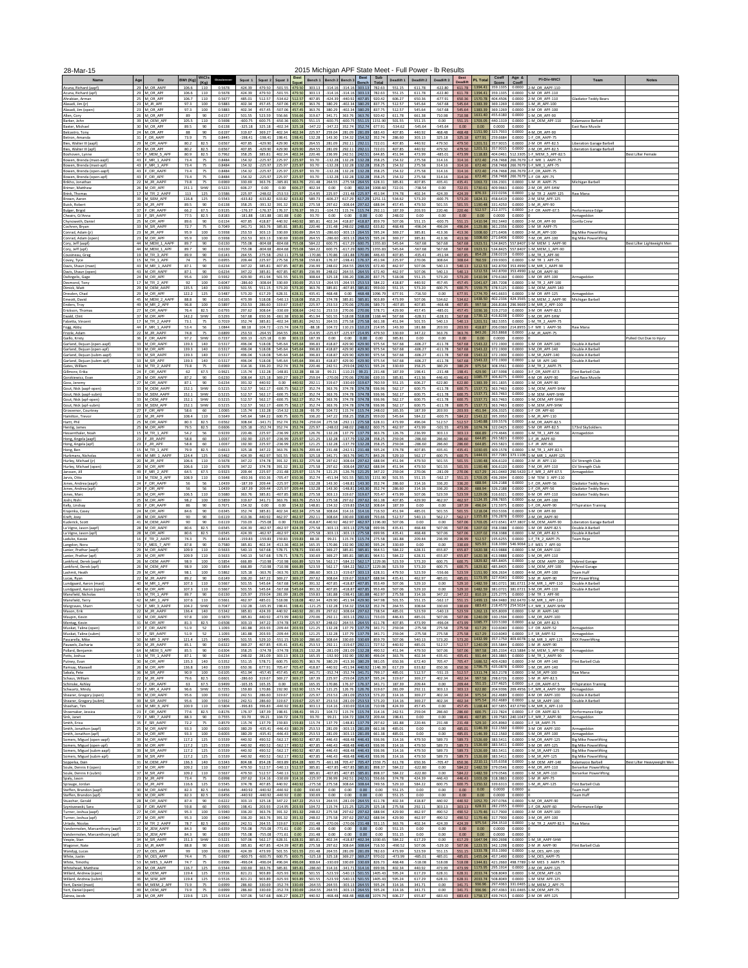| 28-Mar-15                                                                             |                                                   |                         |                              |                            |                                                                                                                                                                                                                          |                          |                  | 2015 Michigan APF State Meet - Full Power - Ib Results                                                                                              |      |                               |                                  |                                     |                        |                                           |                                            |                     |                                                                                                                                                                       |                                                                             |                             |
|---------------------------------------------------------------------------------------|---------------------------------------------------|-------------------------|------------------------------|----------------------------|--------------------------------------------------------------------------------------------------------------------------------------------------------------------------------------------------------------------------|--------------------------|------------------|-----------------------------------------------------------------------------------------------------------------------------------------------------|------|-------------------------------|----------------------------------|-------------------------------------|------------------------|-------------------------------------------|--------------------------------------------|---------------------|-----------------------------------------------------------------------------------------------------------------------------------------------------------------------|-----------------------------------------------------------------------------|-----------------------------|
| Acuna, Richard (aapf)                                                                 | $_{\rm Age}$<br>Div<br>29 M_OR_AAPF               | BWt (Kg)<br>106.6       | WtCls<br>(Ka)<br>110         | 0.5678                     | Classrover Squat 1 Squat 2 Squat 3 Squat 9 Bench 1 Bench 2 Bench 3 Best Sub Deadlift 1<br>424.39 479.50 -501.55 479.50 303.13 -314.16 -314.16 303.13 782.63                                                              |                          |                  |                                                                                                                                                     |      | 551.15                        |                                  | Deadlift 2 Deadlift 3               | Best<br>Deadlift       |                                           | PL Total Coeff Age &                       |                     | PI-Div-WtCl<br>611.78 -622.80 611.78 1394.41 359.1335 0.0000 2-M_OR_AAPF-110                                                                                          |                                                                             | <b>Notes</b>                |
| Acuna, Richard (apf)<br>Ahrabian, Arman<br>Alasadi, Jim (jr)                          | 29 M OR APF<br>25 M OR APF<br>23 M JR APF         | 106.6<br>106.7<br>97.3  | 110<br>110<br>100            | 0.5678<br>0.5677<br>0.5883 | 424.39<br>479.50<br>485.01<br>402.34 457.45 -507.06 457.45 363.76 380.29 -402.34 380.29 837.75                                                                                                                           |                          |                  | -501.55 479.50 303.13 -314.16 -314.16 303.13 782.63<br>512.57 -534.62 512.57 407.85 -424.39 -440.92 407.85 920.42                                   |      | 551.15<br>606.27<br>512.57    | 611.78<br>650.36<br>545.64       | $-622.80$<br>$-677.91$<br>$-567.68$ |                        |                                           |                                            |                     | 611.78 1394.41 359.1335 0.0000 5-M OR APF-110<br>650.36 1570.78 404.4506 0.0000 2-M OR APF-110<br>545.64 1383.39 369.1269 0.0000 1-M JR APF-100                       | <b>Gladiator Teddy Bears</b>                                                |                             |
| Alasadi, Jim (open)<br>Allen, Cory<br>Barker, John                                    | 23 M OR APF<br>26 M OR APF<br>39 M_OEM_APR        | 97.3<br>89<br>105.5     | 100<br>90<br>110             | 0.5883<br>0.6157<br>0.5698 | 402.34 457.45 -507.06 457.45 363.76 380.29 -402.34 380.29 837.75<br>501.55   523.59   556.66   556.66<br>$-600.75$ 600.75 $-650.36$ 600.75                                                                               |                          |                  | 319.67 341.71 363.76 363.76 920.42<br>551.15 -600.75 -600.75 551.15 1151.90                                                                         |      | 512.57<br>611.78<br>501.55    | 545.64<br>661.38<br>551.15       | 710.98<br>0.00                      |                        |                                           |                                            |                     | -567.68  545.64  1383.39  369.1269  0.0000  2-M OR APF-100<br>710.98 1631.40 455.6180 0.0000 1-M OR APF-90<br>551.15   1703.05 440.1319 0.0000 1-M_OEM_APF-110        | Kalamazoo Barbell                                                           |                             |
| Baxter, Michael<br>Belcastro, Tony                                                    | 30 M OR APP<br>24 M OR APF                        | 89.5<br>88              | 90<br>90                     | 0.6138<br>0.6197           | -325.18 325.18 -402.34 325.18 -347.22 -347.22 352.74 352.74 677.91<br>319.67                                                                                                                                             |                          |                  | 369.27 402.34 402.34 225.97 259.04 281.09 281.09 683.43                                                                                             |      | $-534.62$<br>407.85           | $-545.64$<br>440.92              | $-545.64$<br>468.48                 |                        | $0.00$ 0.00                               | $0.0000$ $0.0000$                          |                     | 468.48 1151.90 323.7933 0.0000 4-M OR APF-90                                                                                                                          | East Race Muscle                                                            |                             |
| Betron, Amanda<br>Bies, Walter III (aapf)<br>Bies, Walter III (apf)                   | 31 F OR AAPF<br>29 M OR AAPF<br>29 M_OR_APF       | 73.9<br>80.2<br>80.2    | 75<br>82.5<br>82.5           | 0.8445<br>0.6567<br>0.6567 | $-198.41$ $-198.41$ $198.41$ $198.41$ $132.28$ $143.30$ $154.32$ $154.32$ $352.74$<br>407.85 -429.90 429.90 429.90 264.55 281.09 292.11 292.11 722.01<br>407.85 -429.90 429.90 429.90 264.55 281.09 292.11 292.11 722.01 |                          |                  |                                                                                                                                                     |      | 286.60<br>407.85<br>407.85    | 303.13<br>440.92<br>440.92       | 325.18<br>479.50<br>479.50          |                        |                                           |                                            |                     | 325.18 677.91 259.6684 0.0000 1-F OR AAPF-75<br>479.50 1201.51 357.9015 0.0000 2-M OR APF-82.5<br>479.50 1201.51 357.9015 0.0000 2-M OR APF-82.5                      | Liberation Garage Barbell<br>Liberation Garage Barbell                      |                             |
| Boshoven, Lynne<br>Bowen, Brenda (mast-aapf)<br>Bowen, Brenda (mast-apf)              | 57 F MEM 5 APF<br>43 F MR 1 AAPF<br>43 F_MR_1_APF | 80.9<br>73.4<br>73.4    | 82.5<br>75<br>75             | 0.7962<br>0.8484<br>0.8484 | 358.25<br>154.32 -225.97 225.97 225.97 93.70 -132.28 132.28 132.28 358.25<br>154.32                                                                                                                                      | $-225.97$ 225.97         |                  | 385.81 402.34 402.34 220.46 236.99 242.51 242.51 644.85<br>225.97 93.70 -132.28 132.28 132.28 358.25                                                |      | 451.94<br>154.32<br>154.32    | 473.99<br>275.58<br>275.58       | $-485.01$<br>314.16<br>314.16       |                        |                                           |                                            |                     | 473.99 1118.83 404.0461 512.3305 1-F MEM 5 APF-82.5<br>314.16 672.40 258.7468 266.7679 1-F MR 1 AAPF-75<br>314.16 672.40 258.7468 266.7679 1-F MR 1 APF-75            |                                                                             | Best Lifter Female          |
| Bowen, Brenda (open-aapf)<br>Bowen, Brenda (open-apf)<br>Brikho, Jonathan             | 43 F_OR_AAPF<br>43 F_OR_APF<br>22 M JR AAPF       | 73.4<br>73.4<br>73.8    | 75<br>75<br>75               | 0.8484<br>0.8484<br>0.6969 | 154.32 -225.97 225.97 225.97 93.70 -132.28 132.28 132.28 358.25<br>154.32<br>330.69 363.76 -385.81 363.76 231.48 264.55 -275.58 264.55 628.31                                                                            | -225.97 225.97 225.97    |                  | 93.70 -132.28 132.28 132.28 358.25                                                                                                                  |      | 154.32<br>154.32<br>385.81    | 275.58<br>275.58<br>407.85       | 314.16<br>314.16<br>435.41          | 314.16                 | 672.40<br>435.41 1063.72                  |                                            |                     | 314.16 672.40 258.7468 266.7679 2-F OR AAPF-75<br>258.7468 266.7679 1-F OR APF-75<br>336.2301  0.0000  1-M JR AAPF-75                                                 | Michigan Barbell                                                            |                             |
| Brimer, Matthew<br><b>Brink, Thomas</b>                                               | 26 M_OR_APF<br>17 M_TR_2_AAPF                     | 151.1<br>113            | SHW<br>125                   | 0.5223<br>0.5586           | 606.27<br>225.97 -248.02 -253.53 225.97 214.95 225.97 -231.48 225.97 451.94                                                                                                                                              |                          |                  | $0.00$ 0.00 606.27 402.34 0.00 0.00 402.34 1008.60                                                                                                  |      | 722.01<br>374.78              | $-738.54$<br>402.34              | 0.00<br>424.39                      |                        | 722.01 1730.61                            |                                            |                     | 409.9663 0.0000 2-M_OR_APF-SHW<br>424.39 876.33 222.0236 0.0000 1-M TR 2 AAPF-125                                                                                     | Raw Mana                                                                    |                             |
| Brown, Aaron<br>Buick, Robert<br>Bulger, Brigid                                       | 39 M_SEM_APF<br>20 M_JR_APF<br>37 F_OR_AAPF       | 116.8<br>89.5<br>66.2   | 125<br>90<br>67.5            | 0.5543<br>0.6138<br>0.9135 | $-633.82$ $-633.82$ $633.82$ $633.82$<br>358.25 -391.32 391.32 391.32 275.58 297.62 -308.64 297.62 688.94<br>$-176.37$                                                                                                   | $-176.37$ 176.37 176.37  |                  | 589.73 -606.27 617.29 617.29 1251.11<br>99.21 -104.72 115.74 115.74 292.11                                                                          |      | 534.62<br>457.45<br>187.39    | 573.20<br>479.50<br>203.93       | $-600.75$<br>501.55<br>220.46       | 573.20<br>220.46       | 1824.31<br>501.55 1190.48<br>512.57       |                                            |                     | 458.6419 0.0000 2-M SEM APF-125<br>331.4250  0.0000  1-M JR APF-90<br>212.3771 0.0000 2-F OR AAPF-67.5                                                                | Performance Edge                                                            |                             |
| Cheairs, Gi'Anna<br>Chynoweth, Daniel<br>Cochren, Bryan                               | 33 F SR AAPF<br>25 M_OR_APF<br>33 M_SR_AAPF       | 77.5<br>89.6<br>72.7    | 82.5<br>90<br>75             | 0.8183<br>0.6134<br>0.7049 | $-181.88$<br>407.85<br>341.71                                                                                                                                                                                            | 418.87 440.92 440.92     |                  | $-181.88$ $-181.88$ 0.00 93.70 0.00 0.00 0.00 0.00<br>385.81 402.34 418.87 418.87 859.79<br>363.76 385.81 385.81 220.46 231.48 248.02 248.02 633.82 |      | 248.02<br>507.06<br>468.48    | 0.00<br>551.15<br>$-496.04$      | 0.00<br>$-600.75$<br>496.04         | 0.00                   | 0.00<br>551.15 1410.94<br>496.04 1129.86  |                                            | $0.0000$ $0.0000$ 0 | 392.5440  0.0000  2-M_OR_APF-90<br>361.2356 0.0000 1-M SR AAPF-75                                                                                                     | Armageddon<br>iorilla Crew                                                  |                             |
| Conrad, Adam (ir)<br>Conrad, Adam (open)<br>Cory, Jeff (aapf)                         | 23 M_JR_APF<br>23 M_OR_APF<br>44 M_MEM_1_AAPF     | 95.9<br>95.9<br>89.7    | 100<br>100<br>90             | 0.5938<br>0.5938<br>0.6130 | 253.53<br>253.53<br>755.08 -804.68 -804.68 755.08 584.22 600.75 -617.29 600.75 1355.83                                                                                                                                   | 303.13 330.69 330.69     |                  | 264.55 -286.60 -303.13 264.55 595.24<br>303.13 330.69 330.69 264.55 -286.60 -303.13 264.55 595.24                                                   |      | 369.27<br>369.27<br>545.64    | 385.81<br>385.81<br>$-567.68$    | 413.36<br>413.36<br>567.68          |                        | 413.36 1008.60                            |                                            |                     | 271.6406  0.0000  2-M JR APF-100<br>413.36 1008.60 271.6406 0.0000 7-M OR APF-100<br>567.68 1923.51 534.8425 557.8407 1-M MEM 1 AAPF-90                               | <b>Big Mike Powerlifting</b><br><b>Big Mike Powerlifting</b>                | Best Lifter Lightweight Men |
| Cory, Jeff (apf)<br>Cousineau, Greg                                                   | 44 M_MEM_1_APF<br>19 M_TR_3_APF<br>15 M TR 1 APF  | 89.7<br>89.9            | 90<br>90                     | 0.6130<br>0.6143           | 755.08 -804.68 -804.68 755.08 584.22 600.75 -617.29 600.75 1355.83<br>264.55 275.58 -292.11 275.58                                                                                                                       |                          |                  | $-170.86$ 170.86 $-181.88$ 170.86 446.43                                                                                                            |      | 545.64<br>407.85              | $-567.68$<br>$-435.41$           | 567.68                              |                        |                                           |                                            |                     | 567.68 1923.51 534.8425 557.8407 1-M MEM 1 APF-90<br>-451.94 407.85 854.28 238.0219 0.0000 1-M TR 3 APF-90<br>308.64 760.59 239.9303 0.0000 1-M TR 1 APF-75           |                                                                             |                             |
| Covey, Tyce<br>Davis, Shaun (mast)<br>Davis, Shaun (open)                             | 43 M MR 1 AAPF<br>43 M OR AAPF                    | 74<br>87.1<br>87.1      | 75<br>90<br>90               | 0.6955<br>0.6234<br>0.6234 | 209.44 225.97 275.58 275.58 159.83 176.37 -198.41 176.37 451.94<br>347.22 385.81 407.85 407.85 236.99 248.02 264.55 264.55 672.40<br>347.22 385.81 407.85 407.85 236.99 248.02 264.55 264.55 672.40                      |                          |                  |                                                                                                                                                     |      | 225.97<br>462.97<br>462.97    | 270.06<br>507.06<br>507.06       | 308.64<br>540.13<br>540.13          |                        |                                           |                                            |                     | 540.13 1212.53 342.8700 353.4990 1-M MR 1 AAPF-90<br>540.13 1212.53 342.8700 353.4990 3-M OR AAPF-90                                                                  |                                                                             |                             |
| DeAngelis, Gage<br>Desmond, Tony<br>Dimick, Matt                                      | 24 M_OR_APF<br>17 M TR 2 APF<br>29 M_OEM_AAPF     | 95.6<br>92<br>135.5     | 100<br>100<br>140            | 0.5932<br>0.6047<br>0.5350 | 429.90 451.94 501.55 501.55 308.64 325.18 336.20 336.20 837.75<br>-286.60 -308.64 330.69 330.69 253.53 -264.55 -264.55 253.53 584.22<br>501.55 551.15 573.20 573.20 363.76 385.81 -407.85 385.81 959.00                  |                          |                  |                                                                                                                                                     |      | 518.08<br>418.87<br>551.15    | 551.15<br>440.92<br>573.20       | 573.20<br>457.45<br>600.75          |                        | 600.75 1559.75                            |                                            |                     | 573.20   1410.94 379.6160 0.0000 1-M OR APF-100<br>457.45 1041.67 285.7208 0.0000 1-M TR 2 APF-100<br>378.5125 0.0000 1-M OEM AAPF-140                                | Armageddon                                                                  |                             |
| Dresden, Chad<br>Emeott, David<br>Enders, Troy                                        | 29 M_OR_APF<br>45 M_MEM_2_AAPF<br>49 M_MR_2_APF   | 122.2<br>88.8<br>96.8   | 125<br>90<br>100             | 0.5487<br>0.6165<br>0.5897 | 573.20<br>473.99 518.08 540.13 518.08 358.25 374.78 385.81 385.81 903.89<br>253.53 286.60 319.67 319.67 225.97 253.53 270.06 270.06 589.73                                                                               | 617.29 628.31            |                  | 628.31 435.41 468.48 0.00 468.48 1096.79                                                                                                            |      | 677.91<br>473.99<br>$-407.85$ | $-716.50$<br>507.06<br>407.85    | 0.00<br>534.62<br>$-468.48$         | 407.85                 | 997.58                                    |                                            |                     | 677.91 1774.70 441.6633 0.0000 1-M OR APF-125<br>534.62 1438.50 402.2336 424.3565 1-M MEM 2 AAPF-90 Michigan Barbell<br>266.8166 296.9669 1-M MR 2 APF-100            | <b>urmageddor</b>                                                           |                             |
| Erickson, Thomas<br>Ewald, Clint                                                      | 27 M OR AAPF<br>37 M_OR_APF                       | 76.4<br>142.2<br>73.1   | 82.5<br>SHW<br>75            | 0.6793<br>0.5293           | 297.62 308.64 -330.69 308.64 -242.51 253.53 270.06 270.06 578.71<br>567.68<br>352.74 385.81 -402.34 385.81 242.51 264.55 275.58 275.58 661.38                                                                            | 650.36 -661.38 650.36    |                  | 451.94 501.55 518.08 518.08 1168.44                                                                                                                 |      | 429.90<br>567.68<br>451.94    | 457.45<br>$-628.31$              | $-485.01$<br>$-628.31$<br>540.13    | 457.45 1036.16         | 567.68 1736.12                            |                                            |                     | 319.2710 0.0000 3-M OR AAPF-82.5<br>416.8238  0.0000  1-M_OR_APF-SHW                                                                                                  |                                                                             |                             |
| Falzetta, Vincent<br>Fogg, Abby<br>Frizzle, Adam                                      | 17 M_TR_2_AAPF<br>44 F_MR_1_AAPF<br>22 M_JR_AAPF  | 53.4<br>74.8            | 56<br>75                     | 0.7019<br>1.0844<br>0.6899 | 88.18<br>253.53 -264.55 264.55 264.55 214.95 -225.97 -225.97 214.95 479.50                                                                                                                                               | 104.72 -115.74 104.72    |                  | -88.18 104.72 110.23 110.23 214.95                                                                                                                  |      | 143.30<br>330.69              | 501.55<br>181.88<br>347.22       | 203.93<br>363.76                    | 203.93                 | 418.87<br>363.76 843.26                   |                                            |                     | 540.13 1201.51 382.5355 0.0000 1-M_TR_2_AAPF-75<br>206.0360 214.8955 1-F MR 1 AAPF-56<br>263.8868 0.0000 2-M JR AAPF-75                                               | Raw Mana                                                                    |                             |
| Gaillo, Kristy<br>Garland, Dejuan (open-aapf)<br>Garland, Dejuan (open-apf)           | 36 F OR AAPF<br>33 M_OR_AAPF<br>33 M_OR_APF       | 97.2<br>139.3<br>139.3  | SHW<br>140<br>140            | 0.7237<br>0.5317<br>0.5317 | 303.13 -325.18<br>496.04 518.08 545.64 545.64 396.83 418.87 429.90 429.90 975.54<br>496.04                                                                                                                               | 518.08   545.64   545.64 |                  | $0.00$ 303.13 187.39 0.00 0.00 0.00<br>396.83 418.87 429.90 429.90 975.54                                                                           | 0.00 | 385.81<br>567.68<br>567.68    | 0.00<br>$-606.27$<br>$-606.27$   | 0.00<br>$-611.78$<br>$-611.78$      | 0.00<br>567.68 1543.22 | 0.00<br>567.68 1543.22                    |                                            | $0.0000$ $0.0000$ 0 | 372.1900 0.0000 1-M OR AAPF-140<br>372.1900 0.0000 3-M_OR_APF-140                                                                                                     | Double A Barbell<br>Double A Barbell                                        | Pulled Out Due to Injury    |
| Garland, Dejuan (subm-aapf)<br>Garland, Dejuan (subm-apf)<br>Gates, William           | 33 M SR AAPF<br>33 M_SR_APF<br>16 M_TR_2_AAPF     | 139.3<br>139.3<br>73.8  | 140<br>140<br>75             | 0.5317<br>0.5317<br>0.6969 | 496.04<br>496.04<br>314.16 336.20 352.74 352.74 220.46 242.51 -259.04 242.51 595.24                                                                                                                                      | 518.08 545.64 545.64     |                  | 518.08 545.64 545.64 396.83 418.87 429.90 429.90 975.54<br>396.83 418.87 429.90 429.90 975.54                                                       |      | 567.68<br>567.68<br>330.69    | $-606.27$<br>$-606.27$<br>358.25 | $-611.78$<br>$-611.78$<br>380.29    |                        | 567.68 1543.22                            |                                            |                     | 372.1900 0.0000 1-M SR AAPF-140<br>567.68 1543.22 372.1900 0.0000 1-M SR APF-140<br>380.29 975.54 308.3561 0.0000 2-M TR 2 AAPF-75                                    | Double A Barbell<br><b>Jouble A Barbell</b>                                 |                             |
| Gillmore, Erika<br>Gorzkiewicz, Evan                                                  | 24 F_OR_AAPF<br>29 M_OR_AAPF                      | 62<br>87.2              | 67.5<br>90                   | 0.9621<br>0.6230           | 115.74 132.28 -148.81 132.28<br>308.64 325.18 369.27 369.27 259.04 -270.06 270.06 270.06 639.33<br>391.32 440.92 0.00 440.92 292.11 319.67 -330.69 319.67 760.59                                                         |                          |                  | 88.18 99.21 -110.23 99.21 231.48                                                                                                                    |      | 187.39<br>385.81              | 198.41<br>413.36                 | $-231.48$<br>446.43                 |                        |                                           |                                            |                     | 198.41 429.90 187.5998 0.0000 3-F OR AAPF-67.5<br>446.43 1085.77 306.8275 0.0000 4-M OR AAPF-90<br>622.80 622.80 1383.39 391.1835 0.0000 1-M OR AAPF-90               | Flint Barbell Club<br>East Race Muscle                                      |                             |
| Goss, Jeremy<br>Gout, Nick (aapf-open)<br>Gout, Nick (aapf-subm)                      | 27 M_OR_AAPF<br>33 M_OEM_AAPF<br>33 M SEM AAPF    | 87.1<br>152.1<br>152.1  | 90<br>SHW<br>SHW             | 0.6234<br>0.5215<br>0.5215 | 512.57 562.17 600.75 562.17 352.74 363.76 374.78 374.78 936.96<br>512.57 562.17 -600.75 562.17                                                                                                                           |                          |                  | 352.74 363.76 374.78 374.78 936.96                                                                                                                  |      | 551.15<br>562.17<br>562.17    | 606.27<br>600.75<br>600.75       | $-611.78$                           |                        |                                           |                                            |                     | -611.78 600.75 537.71 363.7463 0.0000 1-M OEM AAPF-SHW<br>600.75 1537.71 363.7463 0.0000 1-M SEM AAPF-SHW                                                             |                                                                             |                             |
| Gout, Nick (apf-open)<br>Gout, Nick (apf-subm)<br>Grosvenor, Courtney                 | 33 M OEM APF<br>33 M_SEM_APF<br>27 F OR APF       | 152.1<br>152.1<br>58.6  | SHW<br>SHW<br>60             | 0.5215<br>0.5215<br>1.0065 | 512.57 562.17 600.75 562.17 352.74 363.76 374.78 374.78 936.96<br>512.57 562.17 -600.75 562.17 352.74 363.76 374.78 374.78 936.96<br>115.74 132.28 -154.32 132.28 -93.70 104.72 115.74 115.74 248.02                     |                          |                  |                                                                                                                                                     |      | 562.17<br>562.17<br>165.35    | 600.75<br>600.75<br>187.39       | $-611.78$<br>203.93                 |                        |                                           |                                            |                     | 600.75 1537.71 363.7463 0.0000 1-M OEM APF-SHW<br>-611.78 600.75 1537.71 363.7463 0.0000 1-M SEM APF-SHW<br>203.93 451.94 206.3325 0.0000 1-F OR APF-60               |                                                                             |                             |
| Hamilton, Trevor<br>Hartt, Phil<br>Hentig, James                                      | 22 M_JR_APF<br>25 M_OR_AAPF<br>25 M_OR_APF        | 108.4<br>80.3<br>79.5   | 110<br>82.5<br>82.5          | 0.5649<br>0.6562<br>0.6606 | 545.64 584.22 600.75 600.75 336.20 347.22 358.25 358.25 959.00<br>308.64 -341.71 352.74 352.74 -259.04 275.58 -292.11 275.58 628.31<br>325.18 -352.74 352.74 352.74 225.97 -248.02 248.02 248.02 600.75                  |                          |                  |                                                                                                                                                     |      | 545.64<br>473.99<br>462.97    | 584.22<br>496.04<br>473.99       | $-600.75$<br>512.57<br>$-501.55$    |                        |                                           |                                            |                     | 584.22 1543.22 395.3950 0.0000 1-M JR APF-110<br>512.57 1140.88 339.5576 0.0000 2-M OR AAPF-82.5<br>473.99 1074.74 322.0425 0.0000 5-M OR APF-82.5                    | 173rd SkySoldiers                                                           |                             |
| Hessenthaler, Noah<br>Hong, Angela (aapf)                                             | 15 M TR 1 APF<br>23 F_JR_AAPF<br>23 F_JR_APF      | 54.2<br>58.8<br>58.8    | 56<br>60<br>60               | 0.9239<br>1.0037<br>1.0037 | 220.46<br>192.90 225.97 -236.99 225.97 121.25 132.28 -137.79 132.28 358.25<br>192.90 225.97 -236.99 225.97 121.25 132.28 -137.79 132.28 358.25                                                                           |                          |                  | 225.97 -236.99 225.97 126.76 132.28 137.79 137.79 363.76                                                                                            |      | 126.76<br>259.04<br>259.04    | 236.99<br>$-286.60$<br>$-286.60$ | 303.13<br>286.60<br>286.60          | 286.60                 | 644.85                                    |                                            |                     | 303.13 666.89 279.4646 0.0000 1-M TR 1 APF-56<br>286.60 644.85 293.5823 0.0000 1-F JR AAPF-60                                                                         | <b>urmageddon</b>                                                           |                             |
| Hong, Angela (apf)<br>Hong, Ben<br>Hurkmans, Nicholas                                 | 15 M_TR_1_APF<br>44 M_MR_1_AAPF                   | 79.9<br>124.4           | 82.5<br>125                  | 0.6613<br>0.5462           | 325.18 347.22 363.76 363.76 209.44 231.48 -242.51 231.48 595.24<br>424.39                                                                                                                                                | 462.97  501.55  501.55   |                  | 325.18 341.71 -363.76 341.71 843.26                                                                                                                 |      | 374.78<br>529.10              | 407.85<br>562.17                 | 435.41<br>600.75                    |                        | 600.75 1444.01                            |                                            |                     | 293.5823 0.0000 1-F JR APF-60<br>435.41 1030.65 309.1578 0.0000 1-M_TR_1_APF-82.5<br>357.7283 373.1106 1-M_MR_1_AAPF-125                                              |                                                                             |                             |
| Hurley, Michael (jr)<br>Hurley, Michael (open)<br>Janssen, Jill                       | 20 M JR APF<br>20 M_OR_APF<br>49 F_MR_2_APF       | 106.6<br>106.6<br>64.5  | 110<br>110<br>67.5           | 0.5678<br>0.5678<br>0.9323 | 347.22 374.78 391.32 391.32 275.58 297.62 -308.64 297.62 688.94<br>347.22 374.78 391.32 391.32 275.58 297.62 308.64 297.62 688.94<br>209.44 225.97 -231.48 225.97 115.74 121.25 -126.76 121.25 347.22                    |                          |                  |                                                                                                                                                     |      | 451.94<br>451.94<br>259.04    | 479.50<br>479.50<br>270.06       | 501.55<br>501.55<br>$-281.09$       | 501.55                 | 1190.48<br>270.06 617.29                  |                                            |                     | 501.55 1190.48 306.6120 0.0000 2-M JR APF-110<br>306.6120 0.0000 7-M OR APF-110<br>261.0440 290.5420 1-F MR 2 APF-67.5                                                | <b>GV Strength Club</b><br><b>GV Strength Club</b><br>Armageddon            |                             |
| Jarvis, Otto<br>Jones, Andrea (aapf)<br>Jones, Andrea (apf)                           | 19 M_TEM_3_APF<br>24 F_OR_AAPF<br>24 F_OR_APF     | 108.9<br>56<br>56       | 110<br>56<br>56              | 0.5648<br>1.0439<br>1.0439 | $-650.36$<br>$-187.39$ 209.44 $-225.97$ 209.44 132.28 143.30 $-148.81$ 143.30 352.74<br>$-187.39$                                                                                                                        | 650.36 -705.47 650.36    |                  | 352.74 -451.94 501.55 501.55 1151.90<br>209.44 -225.97 209.44 132.28 143.30 -148.81 143.30 352.74                                                   |      | 501.55<br>286.60<br>286.60    | 551.15<br>314.16<br>314.16       | $-562.17$<br>336.20<br>336.20       | 336.20                 | 551.15 1703.05<br>336.20 688.94<br>688.94 |                                            |                     | 436.2694 0.0000 1-M TEM 3 APF-110<br>326.2188 0.0000 1-F OR AAPF-56<br>326.2188 0.0000 1-F OR APF-56                                                                  | <b>Sladiator Teddy Bears</b><br>Gladiator Teddy Bears                       |                             |
| Jones, Marc<br>Joshi, Rishi<br>Kelly, Lindsay                                         | 26 M_OR_APF<br>25 M_OR_APF<br>30 F_OR_AAPF        | 106.5<br>98.2<br>86     | 110<br>100<br>90             | 0.5680<br>0.5859<br>0.7671 | 363.76<br>319.67<br>154.32                                                                                                                                                                                               |                          |                  | 385.81 -407.85 385.81 275.58 303.13 319.67 319.67 705.47                                                                                            |      | 473.99<br>407.85<br>187.39    | 507.06<br>429.90<br>0.00         | 523.59<br>462.97<br>0.00            |                        | 523.59 1229.06<br>462.97 1124.35          |                                            |                     | 316.6321 0.0000 6-M OR APF-110<br>298.7835 0.0000 6-M OR APF-100<br>187.39 496.04 172.5975 0.0000 1-F OR AAPF-90                                                      | <b>Gladiator Teddy Bears</b><br><b>FITspiration Training</b>                |                             |
| Krajenka, Casey<br>Kreft, Joey                                                        | 24 M_OR_APF<br>28 M_OR_AAPF                       | 84.6<br>90              | 90<br>90                     | 0.6345<br>0.6119           | 352.74 385.81 402.34 402.34<br>413.36<br>733.03 -755.08 0.00 733.03 418.87 440.92 462.97 462.97 1196.00                                                                                                                  |                          |                  | 275.58 308.64 314.16 314.16 716.50<br>440.92 462.97 462.97 292.11 308.64 330.69 330.69 793.66                                                       |      | 451.94<br>512.57              | 485.01<br>540.13                 | 501.55<br>562.17                    |                        |                                           |                                            |                     | 501.55 1218.04 350.5336 0.0000 3-M OR APF-90<br>562.17 1355.83 376.2878 0.0000 2-M OR AAPF-90                                                                         |                                                                             |                             |
| Kuderick, Scott<br>La Vigne, Jason (aapf)<br>La Vigne, Jason (apf)                    | 41 M_OEM_AAPF<br>28 M OR AAPF<br>28 M_OR_APF      | 90<br>80.6<br>80.6      | 90<br>82.5<br>82.5           | 0.6119<br>0.6545<br>0.6545 | 424.39 462.97 462.97 424.39 275.58 303.13 303.13 275.58 699.96<br>424.39 -462.97 -462.97 424.39 275.58 -303.13 -303.13 275.58 699.96                                                                                     |                          |                  |                                                                                                                                                     |      | 507.06<br>435.41<br>435.41    | 0.00<br>468.48<br>468.48         | 0.00<br>507.06<br>507.06            |                        |                                           |                                            |                     | 507.06 1703.05 472.6541 477.3807 1-M OEM AAPF-90<br>507.06 1207.02 358.3388 0.0000 1-M OR AAPF-82.5<br>507.06 1207.02 358.3388 0.0000 1-M OR APF-82.5                 | Liberation Garage Barbell<br>Double A Barbell<br>Double A Barbell           |                             |
| Laduke, Kassie<br>Langdon, Nora<br>Lanier, Prather (aapf)                             | 16 F TR 2 AAPF<br>72 F MES 7 APF<br>29 M OR AAPF  | 74.3<br>87.8<br>109.9   | 75<br>90<br>110              | 0.8414<br>0.7580<br>0.5633 | -159.83 -159.83 159.83 159.83 88.18 99.21 115.74 115.74 275.58<br>385.81 402.34 -413.36 402.34 165.35 170.86 192.90 192.90 595.24<br>540.13                                                                              |                          |                  | 567 68 578 71 578 71 330 69 369 77 385 81 385 81 964 51                                                                                             |      | 181.88<br>330.69<br>584.22    | 209.44<br>0.00<br>628.31         | 236.99<br>0.00<br>655.87            |                        |                                           |                                            |                     | 236.99 512.57 195.6255 0.0000 1-F TR 2 AAPF-75<br>330.69 925.93 318.3390 546.9064 1-F MES 7 APF-90<br>655.87 1620.38 413.9888 0.0000 1-M OR AAPF-110                  | Team Repz                                                                   |                             |
| Lanier, Prather (apf)<br>Lankford, Derek (aapf)<br>Lankford, Derek (apf)              | 29 M_OR_APF<br>26 M_OEM_AAPF<br>26 M_OEM_APF      | 109.9<br>98.9<br>98.9   | 110<br>100<br>100            | 0.5633<br>0.5854<br>0.5854 | 540.13<br>666.89<br>666.89 -710.98 -710.98 666.89 523.59 562.17 -584.22 562.17 1229.00                                                                                                                                   |                          |                  | 567.68 578.71 578.71 330.69 369.27 385.81 385.81 964.51<br>-710.98 -710.98 666.89 523.59 562.17 -584.22 562.17 1229.00                              |      | 584.22<br>523.59<br>523.59    | 628.31<br>573.20<br>573.20       | 655.87<br>600.75<br>600.75          |                        |                                           |                                            |                     | 655.87 1620.38 413.9888 0.0000 1-M OR APF-110<br>600.75 1829.82 485.8405 0.0000 1-M OEM AAPF-100<br>600.75 1829.82 485.8405 0.0000 1-M OEM APF-100                    | <b>Hybred Garage</b><br><b>Hybred Garage</b>                                |                             |
| Lashmit, Heath<br>Lucas, Ryan<br>Lundgaard, Aaron (mast)                              | 29 M_OR_APF<br>22 M_JR_AAPF<br>40 M_MR_1_APF      | 98.1<br>89.2<br>107.3   | 100<br>90<br>110             | 0.5862<br>0.6149<br>0.5667 | 325.18 -363.76 -363.76 325.18 286.60 303.13 -319.67 303.13 628.31<br>336.20 347.22 369.27 369.27 297.62 308.64 319.67 319.67 688.94<br>501.55                                                                            | 545.64 -567.68 545.64    |                  | 391.32 407.85 -418.87 407.85 953.49                                                                                                                 |      | 479.50<br>435.41<br>507.06    | 523.59<br>462.97<br>529.10       | $-556.66$<br>0.00                   | 529.10                 | 523.59 1151.90<br>1482.59                 |                                            |                     | 306.2634  0.0000  4-M OR APF-100<br>485.01 485.01 1173.95 327.4343 0.0000 3-M JR AAPF-90<br>381.0721 381.0721 2-M_MR_1_APF-110                                        | Team Huff<br>PFP Powerlifting<br>Double A Barbell                           |                             |
| Lundgaard, Aaron (open)<br>Mansfield, Nicholas                                        | 40 M_OR_APF<br>15 M_TR_1_APF                      | 107.3<br>89.7           | 110<br>90                    | 0.5667<br>0.6130           | 501.55  545.64  -567.68  545.64  391.32  407.85  -418.87  407.85  953.49<br>225.97                                                                                                                                       |                          |                  | 259.04 281.09 281.09 159.83 181.88 -198.41 181.88 462.97                                                                                            |      | 507.06<br>275.58              | 529.10<br>314.16                 | 0.00<br>347.22                      | 347.22                 | 810.19                                    |                                            |                     | 529.10 1482.59 381.0721 381.0721 3-M_OR_APF-110<br>225.2775 0.0000 1-M TR 1 APF-90                                                                                    | Double A Barbell                                                            |                             |
| Mansfield, Terry<br>Margraves, Sharri<br>Mason, Erik                                  | 42 M_MR_1_APF<br>52 F_MR_3_AAPF<br>22 M_JR_AAPF   | 107.6<br>104.2<br>136.4 | 110<br>SHW<br>140            | 0.5661<br>0.7047           | 462.97 485.01 518.08 518.08 402.34 429.90 451.94 429.90 947.98<br>132.28 -165.35 198.41 198.41 -121.25 132.28 154.32 154.32 352.74<br>0.5342 385.81 424.39 440.92 440.92 281.09 297.62 308.64 297.62 738.54              |                          |                  |                                                                                                                                                     |      | 501.55<br>264.55<br>485.01    | 551.15<br>308.64<br>523.59       | $-562.17$<br>330.69                 |                        |                                           |                                            |                     | 551.15 1499.13 384.9480 392.6470 1-M MR 1 APF-110<br>330.69 683.43 218.4570 254.5024 1-F MR 3 AAPF-SHW<br>-540.13  523.59  1262.13  305.8009  0.0000  1-M JR AAPF-140 |                                                                             |                             |
| Mentag, Kevin<br>Muskat, Taline (open)                                                | 31 M_OR_APF<br>37 F_OR_AAPF                       | 81.3<br>51.9            | 82.5<br>52                   | 1.1093                     | 0.6508 303.13 347.22 -374.78 347.22 225.97 248.02 264.55 264.55 611.78<br>181.88 203.93 -209.44 203.93 121.25 132.28 137.79 137.79 341.71                                                                                |                          |                  |                                                                                                                                                     |      | 407.85<br>259.04              | 473.99<br>$-275.58$              | 275.58                              |                        |                                           |                                            |                     | -496.04 473.99 1085.77 320.5190 0.0000 4-M_OR_APF-82.5<br>275.58 617.29 310.6040 0.0000 1-F OR AAPF-52                                                                | Armageddon                                                                  |                             |
| Muskat, Taline (subm)<br>Pascarella, Mike<br>Pauwels, Zacharia                        | 37 F_SR_AAPF<br>50 M_MR_3_APF<br>20 M JR AAPF     | 51.9<br>121.4<br>85.1   | 52<br>125<br>90              | 1.1093<br>0.5495<br>0.6322 | 181.88 203.93 -209.44 203.93 121.25 132.28 137.79 137.79 341.71<br>501.55<br>369.27 407.85 435.41 435.41 253.53 292.11 -319.67 292.11 727.52                                                                             | 529.10 -551.15 529.10    |                  | 286.60 308.64 330.69 330.69 859.79                                                                                                                  |      | 259.04<br>507.06<br>440.92    | $-275.58$<br>540.13<br>485.01    | 275.58<br>573.20<br>512.57          |                        |                                           |                                            |                     | 275.58 617.29 310.6040 0.0000 1-F SR AAPF-52<br>573.20 1432.99 357.1750 403.6078 1-M MR 3 APF-125<br>512.57 1240.09 355.5844 0.0000 1-M JR AAPF-90                    | Armageddon<br><b>XXX Powerlifting</b>                                       |                             |
| Pollard, Benjamin<br>Potts, Joshua<br>Putney, Evan                                    | 64 M_MEM_5_APF<br>15 M_TR_1_AAPF<br>30 M OR APF   | 85.5<br>87.1<br>135.3   | 90<br>90<br>140              | 0.6304<br>0.6234<br>0.5352 | 358.25 -374.78 -374.78 358.25<br>248.02 281.09 303.13 303.13 165.35 -192.90 192.90 192.90 496.04<br>551.15 578.71 600.75 600.75 363.76 380.29 -413.36 380.29 981.05                                                      |                          |                  | 132.28 -281.09 -281.09 132.28 490.52                                                                                                                |      | 451.94<br>363.76<br>650.36    | 479.50<br>402.34<br>672.40       | 507.06<br>435.41<br>705.47          |                        |                                           |                                            |                     | 507.06 997.58 285.2334 413.5884 1-M MEM 5 APF-90<br>435.41 931.44 263.3865 0.0000 1-M TR 1 AAPF-90<br>705.47 1686.52 409.4280 0.0000 2-M OR APF-140                   | Armageddon<br>Flint Barbell Club                                            |                             |
| Ramsay, Maxwell<br>Sabala, Pete                                                       | 26 M OR APF<br>36 M SR APF                        | 136.8<br>90.9           | 140<br>100                   | 0.5339<br>0.6105           | 650.36 677.91 705.47 705.47 418.87 440.92 -451.94 440.92 1146.39<br>451.94 -457.45 457.45 457.45 341.71 -352.74 -352.74 341.71 799.17                                                                                    |                          |                  |                                                                                                                                                     |      | 617.29<br>485.01              | 633.82<br>512.57                 | 650.36                              |                        |                                           |                                            |                     | 650.36 1796.75 435.0878 0.0000 1-M OR APF-140<br>-551.15 512.57 1311.74 363.2178 0.0000 1-M SR APF-100                                                                | Raw Mana                                                                    |                             |
| Schaus, William<br>Schinske, Ashley<br>Schwartz, Mindy                                | 22 M JR APF<br>27 F OR AAPF<br>59 F MR 4 AAPF     | 79.6<br>63<br>96.6      | 82.5<br>67.5<br>SHW          | 0.6601<br>0.9499<br>0.7255 | -286.60 319.67 369.27 369.27 187.39 225.97 -259.04 225.97 595.24<br>-165.35 165.35 0.00 165.35 165.35 170.86 176.37 176.37 341.71<br>159.83 170.86 192.90 192.90 115.74 121.25 126.76 126.76 319.67                      |                          |                  |                                                                                                                                                     |      | 319.67<br>187.39<br>281.09    | 369.27<br>209.44<br>292.11       | 402.34<br>0.00<br>303.13            |                        |                                           |                                            |                     | 402.34 997.58 298.6726 0.0000 1-M JR APF-82.5<br>209.44 551.15 237.4625 0.0000 1-F OR AAPF-67.5<br>303.13 622.80 204.9396 269.4956 1-F MR 4 AAPF-SHW                  | <b>FITspiration Training</b><br>Armageddon                                  |                             |
| Shearer, Gregory (open)<br>Shearer, Gregory (subm)<br>Sheehan, Tim                    | 39 M_OR_AAPF<br>39 M SR AAPF<br>63 M MR 6 APF     | 95.6<br>95.6<br>100.9   | 100<br>100<br>110            | 0.5932<br>0.5932<br>0.5804 | 242.51 286.60 319.67 319.67 225.97 253.53 -281.09 253.53 573.20<br>242.51 286.60 319.67 319.67 225.97 253.53 -281.09 253.53 573.20<br>$-396.83$ 396.83 $-440.92$ 396.83 303.13 314.16 330.69 314.16 710.98               |                          |                  |                                                                                                                                                     |      | 314.16<br>314.16<br>424.39    | 369.27<br>369.27<br>457.45       | 402.34<br>402.34<br>0.00            |                        |                                           |                                            |                     | 402.34 975.54 262.4689 0.0000 4-M OR AAPF-100<br>402.34 975.54 262.4689 0.0000 1-M SR AAPF-100<br>457.45 1168.44 307.5855 437.0790 1-M MR 6 APF-110                   | Double A Barbell<br>Double A Barbell                                        |                             |
| Shoemaker, Jessica<br>Sink, Janet<br>Smith, Erica                                     | 23 F_OR_AAPF<br>72 F_MR_7_AAPF<br>35 F_SR_AAPF    | 77.6<br>88.3<br>72.2    | 82.5<br>90<br>75             | 0.8176<br>0.7555<br>0.8579 | 176.37 187.39 198.41 198.41<br>93.70 99.21 104.72 104.72 93.70 99.21 104.72 104.72 209.44<br>115.74                                                                                                                      | 137.79 159.83 159.83     |                  | 99.21 104.72 115.74 115.74 314.16<br>115.74 137.79 -148.81 137.79 297.62                                                                            |      | 242.51<br>198.41<br>181.88    | 259.04<br>0.00<br>220.46         | 286.60<br>0.00<br>231.48            | 286.60<br>231.48       | 600.75<br>198.41 407.85<br>529.10         |                                            |                     | 222.7824 0.0000 1-F OR AAPF-82.5<br>139.7583 240.1047 1-F MR 7 AAPF-90<br>205.8960 0.0000 1-F_SR_AAPF-75                                                              | Performance Edge<br>Armageddon                                              |                             |
| Smith, Jonathon (aapf)<br>Smith, Jonathon (apf)                                       | 25 M_OR_AAPF<br>25 M OR APF<br>39 M_OR_AAPF       | 93.3<br>93.3<br>117.2   | 100<br>100<br>125            | 0.6003<br>0.6003<br>0.5539 | 380.29 -435.41 -446.43 380.29 253.53 281.09 -303.13 281.09 661.38<br>380.29                                                                                                                                              | $-435.41 -446.43$ 380.29 |                  | 253.53 281.09 -303.13 281.09 661.38                                                                                                                 |      | 485.01<br>485.01<br>314.16    | 0.00<br>0.00<br>479.50           | 0.00<br>0.00<br>589.73              | 485.01                 | 1146.39<br>589.73 1526.69                 |                                            |                     | 485.01 1146.39 312.1560 0.0000 3-M OR AAPF-100<br>312.1560 0.0000 5-M OR APF-100<br>383.5411  0.0000  1-M OR AAPF-125                                                 | Armageddon<br>Armageddon<br><b>Big Mike Powerlifting</b>                    |                             |
| Somers, Miguel (open-aapf)<br>Somers, Miguel (open-apf)<br>Somers, Miguel (subm-aapf) | 39 M_OR_APF<br>39 M_SR_AAPF                       | 117.2<br>117.2          | 125<br>125                   | 0.5539<br>0.5539           | 440.92 490.52 -562.17 490.52 407.85 446.43 -468.48 446.43 936.96<br>440.92<br>440.92 490.52 -562.17 490.52 407.85 446.43 -468.48 446.43 936.96                                                                           | 490.52 -562.17 490.52    |                  | 407.85 446.43 -468.48 446.43 936.96                                                                                                                 |      | 314.16<br>314.16              | 479.50<br>479.50                 | 589.73<br>589.73                    |                        | 589.73 1526.69<br>589.73 1526.69          |                                            |                     | 383.5411  0.0000  3-M OR APF-125<br>383.5411  0.0000  1-M SR AAPF-125                                                                                                 | <b>Sig Mike Powerlifting</b><br>Big Mike Powerlifting                       |                             |
| Somers, Miguel (subm-apf)<br>Soppelsa, Dain<br>Soule, Dennis II (open)                | 39 M_SR_APF<br>31 M_OEM_APF<br>37 M_OR_APF        | 117.2<br>136.3<br>109.2 | 125<br>140<br>110            | 0.5539<br>0.5343<br>0.5637 | 440.92<br>804.68 854.28 -903.89 854.28 600.75 -661.38 705.47 705.47 1559.7<br>479.50<br>512.57                                                                                                                           | 490.52 -562.17 490.52    | $-540.13$ 512.57 | 407.85 446.43 -468.48 446.43 936.96<br>385.81 -407.85 -407.85 385.81 898.37                                                                         |      | 314.16<br>611.78<br>584.22    | 479.50<br>650.36<br>$-622.80$    | 589.73<br>$-705.47$<br>0.00         |                        | 589.73 1526.69                            |                                            |                     | 383.5411 0.0000 1-M SR APF-125<br>650.36 2210.11 535.6358 0.0000 1-M OEM APF-140<br>584.22 1482.59 379.0546 0.0000 4-M OR APF-110                                     | <b>Big Mike Powerlifting</b><br>Kalamazoo Barbell<br>Berserker Powerlifting | Best Lifter Heavyweight Me  |
| Soule, Dennis II (subm)<br>Spaly, Jason<br>Sprauge, Jordan                            | 37 M_SR_APF<br>23 M_JR_APF<br>21 M JR APF         | 109.2<br>73.4<br>116.6  | 110<br>75<br>125             | 0.5637<br>0.6998<br>0.5545 | 479.50 512.57 540.13 512.57 385.81 407.85 407.85 385.81 898.37<br>297.62 314.16 -330.69 314.16 -225.97 236.99 242.51 242.51 556.66<br>374.78 407.85 440.92 440.92 -275.58 275.58 308.64 308.64 749.56                    |                          |                  |                                                                                                                                                     |      | 584.22<br>374.78<br>529.10    | $-622.80$<br>424.39<br>584.22    | 0.00<br>446.43<br>600.75            |                        |                                           |                                            |                     | 584.22 1482.59 379.0546 0.0000 1-M SR APF-110<br>446.43 1003.09 318.3863 0.0000 1-M JR APF-75<br>600.75 1350.32 339.6313 0.0000 1-M JR APF-125                        | <b>Berserker Powerlifting</b><br>Flint Barbell Club                         |                             |
| Steffen, Brandon (aapf)<br>Steffen, Brandon (apf)<br>Stuecher, Gerald                 | 30 M_OR_AAPF<br>30 M_OR_APF<br>28 M OR AAPF       | 82.3<br>82.3<br>87.4    | 82.5<br>82.5<br>90           | 0.6456<br>0.6456<br>0.6222 | $-440.92$ $-440.92$ $-440.92$ 0.00 330.69 0.00 0.00 0.00 0.00<br>$-440.92$ $-440.92$ $-440.92$ 0.00 330.69 0.00 0.00 0.00 0.00<br>303.13 325.18 347.22 347.22                                                            |                          |                  | 253.53 264.55 -281.09 264.55 611.78                                                                                                                 |      | 551.15<br>551.15<br>402.34    | 0.00<br>0.00<br>418.87           | 0.00<br>0.00<br>440.92              | 0.00<br>0.00           | 0.00<br>0.00                              | $0.0000$ $0.0000$ 0<br>$0.0000$ $0.0000$ 0 |                     | 440.92 1052.70 297.0766 0.0000 5-M OR AAPF-90                                                                                                                         | Team Huff<br>Team Huff                                                      |                             |
| Szyniszewski, Sara<br>Turner, Joshua (aapf)                                           | 32 F OR AAPF<br>27 M OR AAPF<br>27 M OR APF       | 59.8<br>95.3<br>95.3    | 60<br>100<br>100             | 0.9903<br>0.5940<br>0.5940 | 198.41 203.93 -214.95 203.93 104.72 115.74 121.25 121.25 325.18<br>336.20 363.76 391.32 391.32 248.02 275.58 297.62 297.62 688.94<br>336.20 363.76 391.32 391.32 248.02 275.58 297.62 297.62 688.94                      |                          |                  |                                                                                                                                                     |      | 275.58<br>429.90<br>429.90    | 292.11<br>462.97<br>462.97       | 303.13<br>490.52<br>490.52          |                        |                                           |                                            |                     | 303.13 628.31 282.2355 0.0000 1-F OR AAPF-60<br>490.52 1179.46 317.7900 0.0000 2-M OR AAPF-100<br>490.52 1179.46 317.7900 0.0000 3-M OR APF-100                       | Performance Edge                                                            |                             |
| Turner, Joshua (apf)<br>Urtado, Nicolas<br>Vandermolen, Marcanthony (aapf)            | 17 M TR 2 AAPF<br>21 M JEM AAPF                   | 78.7<br>84.3            | 82.5<br>90                   | 0.6652<br>0.6359           | 242.51 264.55 319.67 319.67 231.48 -270.06 -270.06 231.48 551.15<br>755.08                                                                                                                                               |                          |                  | $-755.08$ $-771.61$ 0.00 231.48 0.00 0.00 0.00 0.00                                                                                                 |      | 363.76<br>551.15              | 402.34<br>0.00                   | 424.39<br>0.00                      | 0.00                   | 0.00                                      | $0.0000$ $0.0000$ 0                        |                     | 424.39 975.54 294.3510 0.0000 1-M TR 2 AAPF-82.5                                                                                                                      | Raw Mana                                                                    |                             |
| Vandermolen, Marcanthony (apf)<br>Vespie, Stan<br>Wagoner, Nate                       | 21 M JEM APF<br>34 M_SR_AAPF<br>21 M JR AAPF      | 84.3<br>151.3<br>88.8   | 90 <sub>1</sub><br>SHW<br>90 | 0.6359<br>0.5221<br>0.6165 | 755.08 -755.08 -771.61 0.00 231.48 0.00 0.00 0.00 0.00<br>507.06<br>385.81 407.85 -424.39 407.85 275.58 297.62 308.64 308.64 716.50                                                                                      |                          |                  | 562.17 628.31 628.31 385.81 402.34 -418.87 402.34 1030.65                                                                                           |      | 551.15<br>584.22<br>$-490.52$ | 0.00<br>617.29<br>507.06         | 0.00<br>0.00<br>$-529.10$           | 0.00                   | 0.00<br>617.29 1647.94                    | $0.0000$ $0.0000$ n                        |                     | 390.2698 0.0000 1-M SR AAPF-SHW<br>507.06 1223.55 342.1298 0.0000 2-M JR AAPF-90                                                                                      | Flint Barbell Club                                                          |                             |
| Wandyg, Lucas<br>White, Justin<br>White, Timothy                                      | 27 M OES APF<br>25 M_OES_AAPF<br>53 M_MES_3_AAPF  | 99<br>744<br>74.7       | 100<br>75<br>75              | 0.5838<br>0.6927<br>0.6906 | 424.39 473.99 501.55 501.55<br>-600.75 -600.75 600.75 600.75 -325.18 325.18 369.27 369.27 970.02<br>$-496.04$                                                                                                            | -496.04 496.04 496.04    |                  | 231.48 264.55 281.09 281.09 782.63<br>308.64 -330.69 330.69 330.69 826.73                                                                           |      | 473.99<br>$-473.99$<br>468.48 | 523.59<br>$-485.01$<br>$-518.08$ | 551.15<br>485.01<br>518.08          | 551.15                 | 1333.78<br>518.08  1344.81                |                                            |                     | 353.1990  0.0000  1-M_OES_APF-100<br>485.01 1455.04 457.1490 0.0000 1-M_OES_AAPF-75<br>421.2660 498.7789 1-M MES 3 AAPF-75                                            |                                                                             |                             |
| Whitehead, Matthew<br>Willard, Andrew (open)                                          | 29 M OR AAPF<br>36 M OEM APF                      | 116.7<br>119.4          | 125<br>125                   | 0.5544<br>0.5516           | 330.69 363.76 385.81 385.81 -286.60 314.16 -341.71 314.16 699.96<br>821.21 903.89 -925.93 903.89 501.55 -523.59 -540.13 501.55 1405.43                                                                                   |                          |                  |                                                                                                                                                     |      | 402.34<br>595.24              | 440.92<br>617.29                 | 473.99<br>628.31                    |                        |                                           |                                            |                     | 473.99 1173.95 295.1914 0.0000 2-M OR AAPF-125<br>628.31 2033.74 508.8049 0.0000 1-M OEM APF-125                                                                      |                                                                             |                             |
| Willard, Andrew (subm)<br>Yert, Daniel (mast)                                         | 36 M SEM APF<br>49 M MEM 2 APF                    | 119.4<br>73.9           | 125<br>75                    |                            | 0.5516 821.21 903.89 925.93 903.89 501.55 -523.59 540.13 501.55 1405.43<br>0.6999 286.60 330.69 -352.74 330.69 -264.55 264.55 -303.13 264.55 595.24 314.16                                                               |                          |                  |                                                                                                                                                     |      | 595.24                        | 617.29                           |                                     |                        |                                           |                                            |                     | 628.31 628.31 2033.74 508.8049 0.0000 1-M SEM APF-125<br>341.71 0.00 341.71 936.96 297.4363 331.0465 1-M_MEM_2_APF-75                                                 |                                                                             |                             |

Yert, Daniel (open) 49 M\_OEM\_APF 73.9 75 0.6999 286.60 330.69 -352.74 330.69 -264.55 264.55 -303.13 264.55 595.24 314.16 341.71 0.00 341.71 936.96 297.4363 331.0465 1-M\_OEM\_APF-75 Zainea, Jacob 28 M\_OR\_APF 119.6 125 0.5514 507.06 567.68 606.27 606.27 440.92 -468.48 468.48 468.48 1074.74 606.27 655.87 683.43 683.43 1758.17 439.7415 0.0000 2-M OR APF-125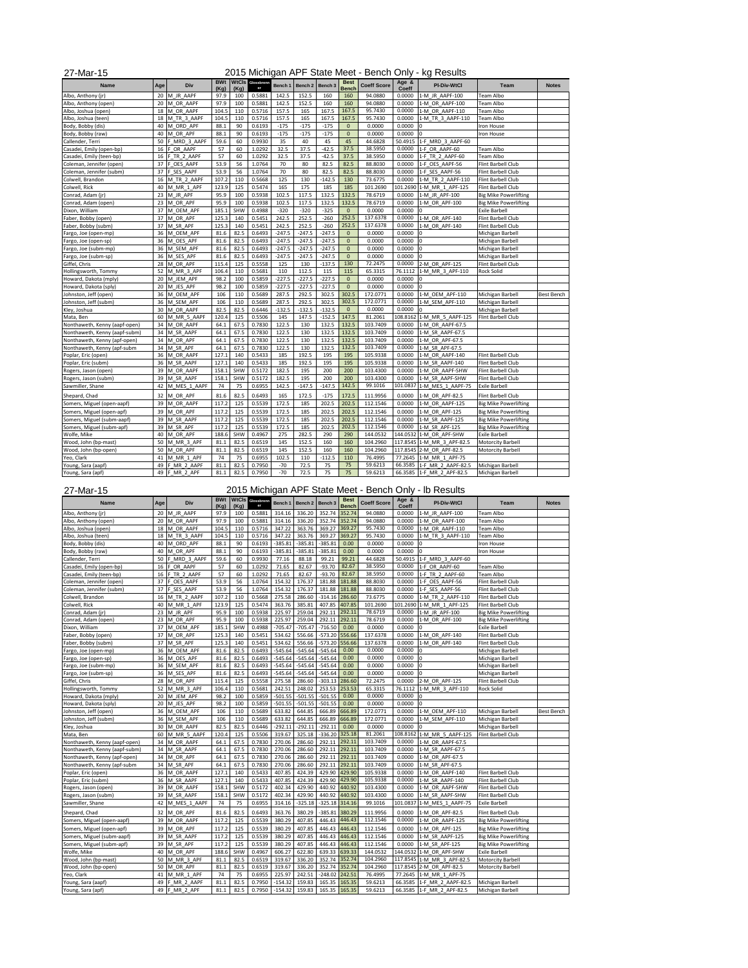| 27-Mar-15                                                      |     |                        |                    |                      |                  |          |              |                    |                             |                      |                  | 2015 Michigan APF State Meet - Bench Only - kg Results |                              |                   |
|----------------------------------------------------------------|-----|------------------------|--------------------|----------------------|------------------|----------|--------------|--------------------|-----------------------------|----------------------|------------------|--------------------------------------------------------|------------------------------|-------------------|
| Name                                                           | Age | Div                    | <b>BWt</b><br>(Kg) | <b>WtCls</b><br>(Kg) | Glossbrenn<br>er | Bench 1  | Bench 2      | Bench <sub>3</sub> | <b>Best</b><br><b>Bench</b> | <b>Coeff Score</b>   | Age &<br>Coeff   | PI-Div-WtCl                                            | Team                         | <b>Notes</b>      |
| Albo, Anthony (jr)                                             | 20  | M JR AAPF              | 97.9               | 100                  | 0.5881           | 142.5    | 152.5        | 160                | 160                         | 94.0880              | 0.0000           | 1-M JR AAPF-100                                        | Team Albo                    |                   |
| Albo, Anthony (open)                                           | 20  | M OR AAPF              | 97.9               | 100                  | 0.5881           | 142.5    | 152.5        | 160                | 160                         | 94.0880              | 0.0000           | 1-M_OR_AAPF-100                                        | Team Albo                    |                   |
| Albo, Joshua (open)                                            | 18  | M OR AAPF              | 104.5              | 110                  | 0.5716           | 157.5    | 165          | 167.5              | 167.5                       | 95.7430              | 0.0000           | 1-M OR AAPF-110                                        | Team Albo                    |                   |
| Albo, Joshua (teen)                                            | 18  | M TR 3 AAPF            | 104.5              | 110                  | 0.5716           | 157.5    | 165          | 167.5              | 167.5                       | 95.7430              | 0.0000           | 1-M TR 3 AAPF-110                                      | Team Albo                    |                   |
| Body, Bobby (dis)                                              | 40  | M ORD APF              | 88.1               | 90                   | 0.6193           | $-175$   | $-175$       | $-175$             | $\mathbf 0$                 | 0.0000               | 0.0000           |                                                        | Iron House                   |                   |
| Body, Bobby (raw)                                              | 40  | M OR APF               | 88.1               | 90                   | 0.6193           | $-175$   | $-175$       | $-175$             | $\mathbf{0}$                | 0.0000               | 0.0000           | n                                                      | <b>Iron House</b>            |                   |
| Callender, Terri                                               | 50  | F MRD 3 AAPF           | 59.6               | 60                   | 0.9930           | 35       | 40           | 45                 | 45                          | 44.6828              | 50.4915          | 1-F MRD 3 AAPF-60                                      |                              |                   |
| Casadei, Emily (open-bp)                                       | 16  | F OR AAPF              | 57                 | 60                   | 1.0292           | 32.5     | 37.5         | $-42.5$            | 37.5                        | 38.5950              | 0.0000           | 1-F OR AAPF-60                                         | Team Albo                    |                   |
| Casadei, Emily (teen-bp)                                       | 16  | F TR 2 AAPF            | 57                 | 60                   | 1.0292           | 32.5     | 37.5         | $-42.5$            | 37.5                        | 38.5950              | 0.0000           | 1-F TR 2 AAPF-60                                       | Team Albo                    |                   |
| Coleman, Jennifer (open)                                       | 37  | F OES AAPF             | 53.9               | 56                   | 1.0764           | 70       | 80           | 82.5               | 82.5                        | 88.8030              | 0.0000           | 1-F OES AAPF-56                                        | Flint Barbell Club           |                   |
| Coleman, Jennifer (subm)                                       | 37  | F SES AAPF             | 53.9               | 56                   | 1.0764           | 70       | 80           | 82.5               | 82.5                        | 88,8030              | 0.0000           | 1-F SES AAPF-56                                        | Flint Barbell Club           |                   |
| Colwell, Brandon                                               | 16  | M TR 2 AAPF            | 107.2              | 110                  | 0.5668           | 125      | 130          | $-142.5$           | 130                         | 73.6775              | 0.0000           | 1-M TR 2 AAPF-110                                      | Flint Barbell Club           |                   |
| Colwell, Rick                                                  | 40  | M MR 1 APF             | 123.9              | 125                  | 0.5474           | 165      | 175          | 185                | 185                         | 101.2690             | 101.2690         | 1-M MR 1 APF-125                                       | Flint Barbell Club           |                   |
| Conrad, Adam (jr)                                              | 23  | M JR APF               | 95.9               | 100                  | 0.5938           | 102.5    | 117.5        | 132.5              | 132.5                       | 78.6719              | 0.0000           | 1-M JR APF-100                                         | <b>Big Mike Powerlifting</b> |                   |
| Conrad, Adam (open)                                            | 23  | M OR APF               | 95.9               | 100                  | 0.5938           | 102.5    | 117.5        | 132.5              | 132.5                       | 78.6719              | 0.0000           | 1-M OR APF-100                                         | <b>Big Mike Powerlifting</b> |                   |
| Dixon, William                                                 | 37  | M OEM APF              | 185.1              | SHW                  | 0.4988           | $-320$   | $-320$       | $-325$             | $\mathbf{0}$                | 0.0000               | 0.0000           |                                                        | <b>Exile Barbell</b>         |                   |
| Faber, Bobby (open)                                            | 37  | M OR APF               | 125.3              | 140                  | 0.5451           | 242.5    | 252.5        | $-260$             | 252.5                       | 137.6378             | 0.0000           | 1-M OR APF-140                                         | Flint Barbell Club           |                   |
| Faber, Bobby (subm)                                            | 37  | M SR APF               | 125.3              | 140                  | 0.5451           | 242.5    | 252.5        | $-260$             | 252.5                       | 137.6378             | 0.0000           | 1-M OR APF-140                                         | Flint Barbell Club           |                   |
| Fargo, Joe (open-mp)                                           | 36  | M OEM APF              | 81.6               | 82.5                 | 0.6493           | $-247.5$ | $-247.5$     | $-247.5$           | $\mathbf{0}$                | 0.0000               | 0.0000           |                                                        | Michigan Barbell             |                   |
| Fargo, Joe (open-sp)                                           | 36  | M OES APF              | 81.6               | 82.5                 | 0.6493           | $-247.5$ | $-247.5$     | $-247.5$           | $\mathbf{0}$                | 0.0000               | 0.0000           | $\Omega$                                               | Michigan Barbell             |                   |
| Fargo, Joe (subm-mp)                                           | 36  | M SEM APF              | 81.6               | 82.5                 | 0.6493           | $-247.5$ | $-247.5$     | $-247.5$           | $\mathbf{0}$                | 0.0000               | 0.0000           |                                                        | Michigan Barbell             |                   |
| Fargo, Joe (subm-sp)                                           | 36  | M SES APF              | 81.6               | 82.5                 | 0.6493           | $-247.5$ | $-247.5$     | $-247.5$           | $\mathbf{0}$                | 0.0000               | 0.0000           |                                                        | Michigan Barbell             |                   |
| Giffel, Chris                                                  | 28  | M OR APF               | 115.4              | 125                  | 0.5558           | 125      | 130          | $-137.5$           | 130                         | 72.2475              | 0.0000           | 2-M OR APF-125                                         | Flint Barbell Club           |                   |
| Hollingsworth, Tommy                                           | 52  | M MR 3 APF             | 106.4              | 110                  | 0.5681           | 110      | 112.5        | 115                | 115                         | 65.3315              | 76.1112          | 1-M MR 3 APF-110                                       | <b>Rock Solid</b>            |                   |
| Howard, Dakota (mply)                                          | 20  | M JEM APF              | 98.2               | 100                  | 0.5859           | $-227.5$ | $-227.5$     | $-227.5$           | $\mathbf{0}$                | 0.0000               | 0.0000           |                                                        |                              |                   |
| Howard, Dakota (sply)                                          | 20  | M JES APF              | 98.2               | 100                  | 0.5859           | $-227.5$ | $-227.5$     | $-227.5$           | $\mathbf{0}$                | 0.0000               | 0.0000           |                                                        |                              |                   |
| Johnston, Jeff (open)                                          | 36  | M OEM APF              | 106                | 110                  | 0.5689           | 287.5    | 292.5        | 302.5              | 302.5                       | 172.0771             | 0.0000           | 1-M OEM APF-110                                        | Michigan Barbell             | <b>Best Bench</b> |
| Johnston, Jeff (subm)                                          | 36  | M SEM APF              | 106                | 110                  | 0.5689           | 287.5    | 292.5        | 302.5              | 302.5                       | 172.0771             | 0.0000           | 1-M SEM APF-110                                        | Michigan Barbell             |                   |
| Kley, Joshua                                                   | 30  | M OR AAPF              | 82.5               | 82.5                 | 0.6446           | $-132.5$ | $-132.5$     | $-132.5$           | $\mathbf 0$                 | 0.0000               | 0.0000           |                                                        | Michigan Barbell             |                   |
| Mata, Ben                                                      | 60  | M MR 5 AAPF            | 120.4              | 125                  | 0.5506           | 145      | 147.5        | $-152.5$           | 147.5                       | 81.2061              | 108.8162         | 1-M MR 5 AAPF-125                                      | Flint Barbell Club           |                   |
|                                                                | 34  | M OR AAPF              | 64.1               |                      | 0.7830           | 122.5    | 130          | 132.5              | 132.5                       | 103.7409             | 0.0000           | 1-M OR AAPF-67.5                                       |                              |                   |
| Nonthaweth, Kenny (aapf-open)<br>Nonthaweth, Kenny (aapf-subm) | 34  | M SR AAPF              | 64.1               | 67.5<br>67.5         | 0.7830           | 122.5    | 130          | 132.5              | 132.5                       | 103.7409             | 0.0000           | 1-M SR AAPF-67.5                                       |                              |                   |
| Nonthaweth, Kenny (apf-open)                                   | 34  | M OR APF               | 64.1               | 67.5                 | 0.7830           | 122.5    | 130          | 132.5              | 132.5                       | 103.7409             | 0.0000           | 1-M OR APF-67.5                                        |                              |                   |
|                                                                | 34  |                        |                    |                      |                  | 122.5    |              |                    | 132.5                       | 103.7409             | 0.0000           | 1-M SR APF-67.5                                        |                              |                   |
| Nonthaweth, Kenny (apf-subm                                    | 36  | M SR APF               | 64.1<br>127.1      | 67.5                 | 0.7830           | 185      | 130<br>192.5 | 132.5<br>195       | 195                         | 105.9338             | 0.0000           |                                                        | <b>Flint Barbell Club</b>    |                   |
| Poplar, Eric (open)                                            |     | M OR AAPF<br>M SR AAPF |                    | 140                  | 0.5433           | 185      | 192.5        |                    |                             |                      |                  | 1-M OR AAPF-140                                        |                              |                   |
| Poplar, Eric (subm)                                            | 36  |                        | 127.1              | 140                  | 0.5433           |          |              | 195                | 195<br>200                  | 105.9338<br>103.4300 | 0.0000<br>0.0000 | 1-M SR AAPF-140                                        | Flint Barbell Club           |                   |
| Rogers, Jason (open)                                           | 39  | M OR AAPF              | 158.1              | SHW                  | 0.5172           | 182.5    | 195          | 200                |                             |                      |                  | 1-M OR AAPF-SHW                                        | Flint Barbell Club           |                   |
| Rogers, Jason (subm)                                           | 39  | M SR AAPF              | 158.1              | SHW                  | 0.5172           | 182.5    | 195          | 200                | 200                         | 103.4300             | 0.0000           | 1-M SR AAPF-SHW                                        | Flint Barbell Club           |                   |
| Sawmiller, Shane                                               | 42  | M MES 1 AAPF           | 74                 | 75                   | 0.6955           | 142.5    | $-147.5$     | $-147.5$           | 142.5                       | 99.1016              | 101.0837         | 1-M MES 1 AAPF-75                                      | <b>Exile Barbell</b>         |                   |
| Shepard, Chad                                                  | 32  | M OR APF               | 81.6               | 82.5                 | 0.6493           | 165      | 172.5        | $-175$             | 172.5                       | 111.9956             | 0.0000           | 1-M OR APF-82.5                                        | Flint Barbell Club           |                   |
| Somers, Miguel (open-aapf)                                     | 39  | M OR AAPF              | 117.2              | 125                  | 0.5539           | 172.5    | 185          | 202.5              | 202.5                       | 112.1546             | 0.0000           | 1-M OR AAPF-125                                        | <b>Big Mike Powerlifting</b> |                   |
| Somers, Miguel (open-apf)                                      | 39  | M OR APF               | 117.2              | 125                  | 0.5539           | 172.5    | 185          | 202.5              | 202.5                       | 112.1546             | 0.0000           | 1-M OR APF-125                                         | <b>Big Mike Powerlifting</b> |                   |
| Somers, Miguel (subm-aapf)                                     | 39  | M SR AAPF              | 117.2              | 125                  | 0.5539           | 172.5    | 185          | 202.5              | 202.5                       | 112.1546             | 0.0000           | 1-M SR AAPF-125                                        | <b>Big Mike Powerlifting</b> |                   |
| Somers, Miguel (subm-apf)                                      | 39  | M SR APF               | 117.2              | 125                  | 0.5539           | 172.5    | 185          | 202.5              | 202.5                       | 112.1546             | 0.0000           | 1-M SR APF-125                                         | <b>Big Mike Powerlifting</b> |                   |
| Wolfe, Mike                                                    | 40  | M OR APF               | 188.6              | SHW                  | 0.4967           | 275      | 282.5        | 290                | 290                         | 144.0532             | 144.0532         | 1-M OR APF-SHW                                         | <b>Exile Barbell</b>         |                   |
| Wood, John (bp-mast)                                           | 50  | M MR 3 APF             | 81.1               | 82.5                 | 0.6519           | 145      | 152.5        | 160                | 160                         | 104.2960             | 117.8545         | 1-M MR_3_APF-82.5                                      | <b>Motorcity Barbell</b>     |                   |
| Wood, John (bp-open)                                           | 50  | M OR APF               | 81.1               | 82.5                 | 0.6519           | 145      | 152.5        | 160                | 160                         | 104.2960             | 117.8545         | 2-M OR APF-82.5                                        | <b>Motorcity Barbell</b>     |                   |
| Yeo, Clark                                                     | 41  | M MR 1 APF             | 74                 | 75                   | 0.6955           | 102.5    | 110          | $-112.5$           | 110                         | 76.4995              | 77.2645          | 1-M MR 1 APF-75                                        |                              |                   |
| Young, Sara (aapf)                                             | 49  | F MR 2 AAPF            | 81.1               | 82.5                 | 0.7950           | $-70$    | 72.5         | 75                 | 75                          | 59.6213              | 66.3585          | 1-F MR 2 AAPF-82.5                                     | Michigan Barbell             |                   |
| Young, Sara (apf)                                              |     | 49 F MR 2 APF          | 81.1               | 82.5                 | 0.7950           | $-70$    | 72.5         | 75                 | 75                          | 59.6213              |                  | 66.3585 1-F MR 2 APF-82.5                              | Michigan Barbell             |                   |
|                                                                |     |                        |                    |                      |                  |          |              |                    |                             |                      |                  |                                                        |                              |                   |

## 2015 Michigan APF State Meet - Bench Only - lb Results

27-Mar-15

| <b>Name</b>                   | Age | Div          | <b>BWt</b><br>(Kg) | <b>WtCls</b><br>(Ka) | Glossbrent<br>er | Bench 1   | Bench <sub>2</sub> | Bench <sub>3</sub> | <b>Best</b><br>Bench | <b>Coeff Score</b> | Age &<br>Coeff | <b>PI-Div-WtCl</b>        | Team                         | <b>Notes</b>      |
|-------------------------------|-----|--------------|--------------------|----------------------|------------------|-----------|--------------------|--------------------|----------------------|--------------------|----------------|---------------------------|------------------------------|-------------------|
| Albo, Anthony (ir)            | 20  | M JR AAPF    | 97.9               | 100                  | 0.5881           | 314.16    | 336.20             | 352.74             | 352.74               | 94.0880            | 0.0000         | 1-M JR AAPF-100           | Team Albo                    |                   |
| Albo, Anthony (open)          | 20  | M OR AAPF    | 97.9               | 100                  | 0.5881           | 314.16    | 336.20             | 352.74             | 352.74               | 94.0880            | 0.0000         | 1-M OR AAPF-100           | Team Albo                    |                   |
| Albo, Joshua (open)           | 18  | M OR AAPF    | 104.5              | 110                  | 0.5716           | 347.22    | 363.76             | 369.27             | 369.27               | 95.7430            | 0.0000         | 1-M OR AAPF-110           | Team Albo                    |                   |
| Albo, Joshua (teen)           | 18  | M TR 3 AAPF  | 104.5              | 110                  | 0.5716           | 347.22    | 363.76             | 369.27             | 369.27               | 95.7430            | 0.0000         | 1-M TR 3 AAPF-110         | Team Albo                    |                   |
| Body, Bobby (dis)             | 40  | M ORD APF    | 88.1               | 90                   | 0.6193           | $-385.81$ | $-385.81$          | $-385.81$          | 0.00                 | 0.0000             | 0.0000         |                           | Iron House                   |                   |
| Body, Bobby (raw)             | 40  | M OR APF     | 88.1               | 90                   | 0.6193           | $-385.81$ | $-385.81$          | $-385.81$          | 0.00                 | 0.0000             | 0.0000         |                           | Iron House                   |                   |
| Callender, Terri              | 50  | F MRD 3 AAPF | 59.6               | 60                   | 0.9930           | 77.16     | 88.18              | 99.21              | 99.21                | 44.6828            | 50.4915        | 1-F MRD 3 AAPF-60         |                              |                   |
| Casadei, Emily (open-bp)      | 16  | OR AAPF      | 57                 | 60                   | 1.0292           | 71.65     | 82.67              | $-93.70$           | 82.67                | 38.5950            | 0.0000         | 1-F OR AAPF-60            | Team Albo                    |                   |
| Casadei, Emily (teen-bp)      | 16  | TR 2 AAPF    | 57                 | 60                   | 1.0292           | 71.65     | 82.67              | $-93.70$           | 82.67                | 38.5950            | 0.0000         | 1-F TR 2 AAPF-60          | Team Albo                    |                   |
| Coleman, Jennifer (open)      | 37  | F OES AAPF   | 53.9               | 56                   | 1.0764           | 154.32    | 176.37             | 181.88             | 181.88               | 88.8030            | 0.0000         | 1-F OES AAPF-56           | Flint Barbell Club           |                   |
| Coleman, Jennifer (subm)      | 37  | F SES AAPF   | 53.9               | 56                   | 1.0764           | 154.32    | 176.37             | 181.88             | 181.88               | 88,8030            | 0.0000         | 1-F SES AAPF-56           | Flint Barbell Club           |                   |
| Colwell, Brandon              | 16  | M TR 2 AAPF  | 107.2              | 110                  | 0.5668           | 275.58    | 286.60             | $-314.16$          | 286.60               | 73.6775            | 0.0000         | 1-M_TR_2_AAPF-110         | Flint Barbell Club           |                   |
| Colwell, Rick                 | 40  | M MR 1 APF   | 123.9              | 125                  | 0.5474           | 363.76    | 385.81             | 407.85             | 407.85               | 101.2690           | 101.2690       | 1-M MR 1 APF-125          | Flint Barbell Club           |                   |
| Conrad, Adam (jr)             | 23  | M JR APF     | 95.9               | 100                  | 0.5938           | 225.97    | 259.04             | 292.11             | 292.11               | 78.6719            | 0.0000         | 1-M JR APF-100            | <b>Big Mike Powerlifting</b> |                   |
| Conrad, Adam (open)           | 23  | M OR APF     | 95.9               | 100                  | 0.5938           | 225.97    | 259.04             | 292.11             | 292.11               | 78.6719            | 0.0000         | 1-M OR APF-100            | <b>Big Mike Powerlifting</b> |                   |
| Dixon, William                | 37  | M OEM APF    | 185.               | SHW                  | 0.4988           | $-705.47$ | $-705.47$          | $-716.50$          | 0.00                 | 0.0000             | 0.0000         |                           | <b>Exile Barbell</b>         |                   |
| Faber, Bobby (open)           | 37  | M OR APF     | 125.3              | 140                  | 0.5451           | 534.62    | 556.66             | $-573.20$          | 556.66               | 137.6378           | 0.0000         | 1-M OR APF-140            | Flint Barbell Club           |                   |
| Faber, Bobby (subm)           | 37  | M SR APF     | 125.3              | 140                  | 0.5451           | 534.62    | 556.66             | $-573.20$          | 556.66               | 137.6378           | 0.0000         | 1-M OR APF-140            | Flint Barbell Club           |                   |
| Fargo, Joe (open-mp)          | 36  | M OEM APF    | 81.6               | 82.5                 | 0.6493           | $-545.64$ | $-545.64$          | $-545.64$          | 0.00                 | 0.0000             | 0.0000         |                           | Michigan Barbell             |                   |
| Fargo, Joe (open-sp)          | 36  | M OES APF    | 81.6               | 82.5                 | 0.6493           | $-545.64$ | $-545.64$          | $-545.64$          | 0.00                 | 0.0000             | 0.0000         |                           | Michigan Barbell             |                   |
| Fargo, Joe (subm-mp)          | 36  | M SEM APF    | 81.6               | 82.5                 | 0.6493           | $-545.64$ | $-545.64$          | $-545.64$          | 0.00                 | 0.0000             | 0.0000         |                           | Michigan Barbell             |                   |
| Fargo, Joe (subm-sp)          | 36  | M SES APF    | 81.6               | 82.5                 | 0.6493           | $-545.64$ | $-545.64$          | $-545.64$          | 0.00                 | 0.0000             | 0.0000         |                           | Michigan Barbell             |                   |
| Giffel, Chris                 | 28  | M OR APF     | 115.4              | 125                  | 0.5558           | 275.58    | 286.60             | $-303.13$          | 286.60               | 72.2475            | 0.0000         | 2-M OR APF-125            | Flint Barbell Club           |                   |
| Hollingsworth, Tommy          | 52  | M MR 3 APF   | 106.4              | 110                  | 0.5681           | 242.51    | 248.02             | 253.53             | 253.53               | 65.3315            | 76.1112        | 1-M MR 3 APF-110          | <b>Rock Solid</b>            |                   |
| Howard, Dakota (mply)         | 20  | M JEM APF    | 98.2               | 100                  | 0.5859           | $-501.55$ | $-501.55$          | $-501.55$          | 0.00                 | 0.0000             | 0.0000         |                           |                              |                   |
| Howard, Dakota (sply)         | 20  | M JES APF    | 98.2               | 100                  | 0.5859           | $-501.55$ | $-501.55$          | $-501.55$          | 0.00                 | 0.0000             | 0.0000         |                           |                              |                   |
| Johnston, Jeff (open)         | 36  | M OEM APF    | 106                | 110                  | 0.5689           | 633.82    | 644.85             | 666.89             | 666.89               | 172.0771           | 0.0000         | 1-M OEM APF-110           | Michigan Barbell             | <b>Best Bench</b> |
| Johnston, Jeff (subm)         | 36  | M SEM APF    | 106                | 110                  | 0.5689           | 633.82    | 644.85             | 666.89             | 666.89               | 172.0771           | 0.0000         | 1-M SEM APF-110           | Michigan Barbell             |                   |
| Kley, Joshua                  | 30  | M OR AAPF    | 82.5               | 82.5                 | 0.6446           | $-292.11$ | $-292.11$          | $-292.11$          | 0.00                 | 0.0000             | 0.0000         |                           | Michigan Barbell             |                   |
| Mata, Ben                     | 60  | M MR 5 AAPF  | 120.4              | 125                  | 0.5506           | 319.67    | 325.18             | $-336.20$          | 325.18               | 81.2061            | 108.8162       | 1-M MR 5 AAPF-125         | Flint Barbell Club           |                   |
| Nonthaweth, Kenny (aapf-open) | 34  | M OR AAPF    | 64.1               | 67.5                 | 0.7830           | 270.06    | 286.60             | 292.11             | 292.11               | 103.7409           | 0.0000         | 1-M OR AAPF-67.5          |                              |                   |
| Nonthaweth, Kenny (aapf-subm) | 34  | M SR AAPF    | 64.1               | 67.5                 | 0.7830           | 270.06    | 286.60             | 292.11             | 292.11               | 103.7409           | 0.0000         | 1-M SR AAPF-67.5          |                              |                   |
| Nonthaweth, Kenny (apf-open)  | 34  | M OR APF     | 64.1               | 67.5                 | 0.7830           | 270.06    | 286.60             | 292.11             | 292.11               | 103.7409           | 0.0000         | 1-M OR APF-67.5           |                              |                   |
| Nonthaweth, Kenny (apf-subm   | 34  | M SR APF     | 64.1               | 67.5                 | 0.7830           | 270.06    | 286.60             | 292.11             | 292.11               | 103.7409           | 0.0000         | 1-M SR APF-67.5           |                              |                   |
| Poplar, Eric (open)           | 36  | M OR AAPF    | 127.1              | 140                  | 0.5433           | 407.85    | 424.39             | 429.90             | 429.90               | 105.9338           | 0.0000         | 1-M_OR_AAPF-140           | Flint Barbell Club           |                   |
| Poplar, Eric (subm)           | 36  | M SR AAPF    | 127.1              | 140                  | 0.5433           | 407.85    | 424.39             | 429.90             | 429.90               | 105.9338           | 0.0000         | 1-M SR AAPF-140           | Flint Barbell Club           |                   |
| Rogers, Jason (open)          | 39  | M OR AAPF    | 158.1              | SHW                  | 0.5172           | 402.34    | 429.90             | 440.92             | 440.92               | 103.4300           | 0.0000         | 1-M OR AAPF-SHW           | Flint Barbell Club           |                   |
| Rogers, Jason (subm)          | 39  | M SR AAPF    | 158.1              | SHW                  | 0.5172           | 402.34    | 429.90             | 440.92             | 440.92               | 103.4300           | 0.0000         | 1-M SR AAPF-SHW           | Flint Barbell Club           |                   |
| Sawmiller, Shane              | 42  | M MES 1 AAPF | 74                 | 75                   | 0.6955           | 314.16    | $-325.18$          | $-325.18$          | 314.16               | 99.1016            | 101.0837       | 1-M MES 1 AAPF-75         | <b>Exile Barbell</b>         |                   |
| Shepard, Chad                 | 32  | M OR APF     | 81.6               | 82.5                 | 0.6493           | 363.76    | 380.29             | $-385.81$          | 380.29               | 111.9956           | 0.0000         | 1-M OR APF-82.5           | Flint Barbell Club           |                   |
| Somers, Miguel (open-aapf)    | 39  | M OR AAPF    | 117.2              | 125                  | 0.5539           | 380.29    | 407.85             | 446.43             | 446.43               | 112.1546           | 0.0000         | 1-M OR AAPF-125           | <b>Big Mike Powerlifting</b> |                   |
| Somers, Miguel (open-apf)     | 39  | M OR APF     | 117.2              | 125                  | 0.5539           | 380.29    | 407.85             | 446.43             | 446.43               | 112.1546           | 0.0000         | 1-M OR APF-125            | <b>Big Mike Powerlifting</b> |                   |
| Somers, Miguel (subm-aapf)    | 39  | M SR AAPF    | 117.2              | 125                  | 0.5539           | 380.29    | 407.85             | 446.43             | 446.43               | 112.1546           | 0.0000         | 1-M SR AAPF-125           | <b>Big Mike Powerlifting</b> |                   |
| Somers, Miguel (subm-apf)     | 39  | M SR APF     | 117.2              | 125                  | 0.5539           | 380.29    | 407.85             | 446.43             | 446.43               | 112.1546           | 0.0000         | 1-M SR APF-125            | <b>Big Mike Powerlifting</b> |                   |
| Wolfe, Mike                   | 40  | M OR APF     | 188.6              | SHW                  | 0.4967           | 606.27    | 622.80             | 639.33             | 639.33               | 144.0532           | 144.0532       | 1-M OR APF-SHW            | <b>Exile Barbell</b>         |                   |
| Wood, John (bp-mast)          | 50  | M MR 3 APF   | 81.1               | 82.5                 | 0.6519           | 319.67    | 336.20             | 352.74             | 352.74               | 104.2960           | 117.8545       | 1-M MR 3 APF-82.5         | <b>Motorcity Barbell</b>     |                   |
| Wood, John (bp-open)          | 50  | M OR APF     | 81.1               | 82.5                 | 0.6519           | 319.67    | 336.20             | 352.74             | 352.74               | 104.2960           | 117.8545       | 2-M OR APF-82.5           | <b>Motorcity Barbell</b>     |                   |
| Yeo, Clark                    | 41  | M MR 1 APF   | 74                 | 75                   | 0.6955           | 225.97    | 242.51             | $-248.02$          | 242.51               | 76,4995            | 77.2645        | 1-M MR 1 APF-75           |                              |                   |
| Young, Sara (aapf)            | 49  | F MR 2 AAPF  | 81.1               | 82.5                 | 0.7950           | $-154.32$ | 159.83             | 165.35             | 165.35               | 59.6213            | 66.3585        | 1-F MR 2 AAPF-82.5        | Michigan Barbell             |                   |
| Young, Sara (apf)             | 49  | F MR 2 APF   | 81.1               | 82.5                 | 0.7950           | $-154.32$ | 159.83             | 165.35             | 165.35               | 59.6213            |                | 66.3585 1-F MR 2 APF-82.5 | Michigan Barbell             |                   |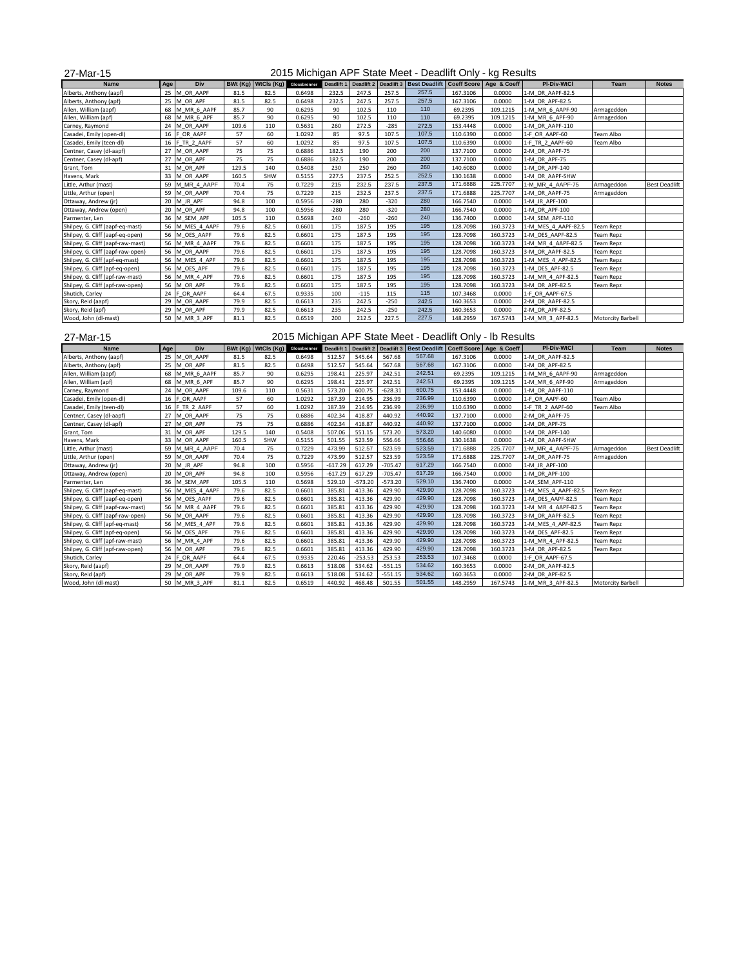## 2015 Michigan APF State Meet - Deadlift Only - kg Results

| 27-Mar-15                         |                 |                |       |                     |              |            |        |        | 2015 Michigan APF State Meet - Deadlift Only - kg Results |          |                           |                     |                   |                      |
|-----------------------------------|-----------------|----------------|-------|---------------------|--------------|------------|--------|--------|-----------------------------------------------------------|----------|---------------------------|---------------------|-------------------|----------------------|
| <b>Name</b>                       | Age             | Div            |       | BWt (Kg) WtCls (Kg) | Glossbrenner | Deadlift 1 |        |        | Deadlift 2 Deadlift 3 Best Deadlift                       |          | Coeff Score   Age & Coeff | <b>PI-Div-WtCl</b>  | Team              | <b>Notes</b>         |
| Alberts, Anthony (aapf)           |                 | 25 M OR AAPF   | 81.5  | 82.5                | 0.6498       | 232.5      | 247.5  | 257.5  | 257.5                                                     | 167.3106 | 0.0000                    | 1-M OR AAPF-82.5    |                   |                      |
| Alberts, Anthony (apf)            |                 | 25 M OR APF    | 81.5  | 82.5                | 0.6498       | 232.5      | 247.5  | 257.5  | 257.5                                                     | 167.3106 | 0.0000                    | 1-M OR APF-82.5     |                   |                      |
| Allen, William (aapf)             | 68              | M MR 6 AAPF    | 85.7  | 90                  | 0.6295       | 90         | 102.5  | 110    | 110                                                       | 69.2395  | 109.1215                  | 1-M MR 6 AAPF-90    | Armageddon        |                      |
| Allen, William (apf)              | 68              | M MR 6 APF     | 85.7  | 90                  | 0.6295       | 90         | 102.5  | 110    | 110                                                       | 69.2395  | 109.1215                  | 1-M MR 6 APF-90     | Armageddon        |                      |
| Carney, Raymond                   | 24              | M OR AAPF      | 109.6 | 110                 | 0.5631       | 260        | 272.5  | $-285$ | 272.5                                                     | 153.4448 | 0.0000                    | 1-M OR AAPF-110     |                   |                      |
| Casadei, Emily (open-dl)          |                 | 16 F OR AAPF   | 57    | 60                  | 1.0292       | 85         | 97.5   | 107.5  | 107.5                                                     | 110.6390 | 0.0000                    | 1-F OR AAPF-60      | Team Albo         |                      |
| Casadei, Emily (teen-dl)          | 16              | F TR 2 AAPF    | 57    | 60                  | 1.0292       | 85         | 97.5   | 107.5  | 107.5                                                     | 110.6390 | 0.0000                    | 1-F TR 2 AAPF-60    | Team Albo         |                      |
| Centner, Casey (dl-aapf)          | 27              | M OR AAPF      | 75    | 75                  | 0.6886       | 182.5      | 190    | 200    | 200                                                       | 137,7100 | 0.0000                    | 2-M OR AAPF-75      |                   |                      |
| Centner, Casey (dl-apf)           | 27              | M OR APF       | 75    | 75                  | 0.6886       | 182.5      | 190    | 200    | 200                                                       | 137,7100 | 0.0000                    | 1-M OR APF-75       |                   |                      |
| Grant, Tom                        | 31              | M OR APF       | 129.5 | 140                 | 0.5408       | 230        | 250    | 260    | 260                                                       | 140,6080 | 0.0000                    | 1-M OR APF-140      |                   |                      |
| Havens, Mark                      | 33              | M OR AAPF      | 160.5 | <b>SHW</b>          | 0.5155       | 227.5      | 237.5  | 252.5  | 252.5                                                     | 130.1638 | 0.0000                    | 1-M OR AAPF-SHW     |                   |                      |
| Little, Arthur (mast)             |                 | 59 M MR 4 AAPF | 70.4  | 75                  | 0.7229       | 215        | 232.5  | 237.5  | 237.5                                                     | 171.6888 | 225.7707                  | 1-M MR 4 AAPF-75    | Armageddon        | <b>Best Deadlift</b> |
| Little, Arthur (open)             | 59              | M OR AAPF      | 70.4  | 75                  | 0.7229       | 215        | 232.5  | 237.5  | 237.5                                                     | 171.6888 | 225,7707                  | 1-M OR AAPF-75      | Armageddon        |                      |
| Ottaway, Andrew (jr)              | 20 <sup>1</sup> | M JR APF       | 94.8  | 100                 | 0.5956       | $-280$     | 280    | $-320$ | 280                                                       | 166,7540 | 0.0000                    | 1-M JR APF-100      |                   |                      |
| Ottaway, Andrew (open)            | 20              | M OR APF       | 94.8  | 100                 | 0.5956       | $-280$     | 280    | $-320$ | 280                                                       | 166.7540 | 0.0000                    | 1-M OR APF-100      |                   |                      |
| Parmenter, Len                    | 36              | M SEM APF      | 105.5 | 110                 | 0.5698       | 240        | $-260$ | $-260$ | 240                                                       | 136,7400 | 0.0000                    | 1-M SEM APF-110     |                   |                      |
| Shilpey, G. Cliff (aapf-eq-mast)  | 56              | M MES 4 AAPF   | 79.6  | 82.5                | 0.6601       | 175        | 187.5  | 195    | 195                                                       | 128,7098 | 160.3723                  | 1-M MES 4 AAPF-82.5 | <b>Team Repz</b>  |                      |
| Shilpey, G. Cliff (aapf-eq-open)  |                 | 56 M OES AAPF  | 79.6  | 82.5                | 0.6601       | 175        | 187.5  | 195    | 195                                                       | 128,7098 | 160.3723                  | 1-M OES AAPF-82.5   | <b>Team Repz</b>  |                      |
| Shilpey, G. Cliff (aapf-raw-mast) | 56              | M MR 4 AAPF    | 79.6  | 82.5                | 0.6601       | 175        | 187.5  | 195    | 195                                                       | 128,7098 | 160.3723                  | 1-M MR 4 AAPF-82.5  | <b>Team Repz</b>  |                      |
| Shilpey, G. Cliff (aapf-raw-open) |                 | 56 M OR AAPF   | 79.6  | 82.5                | 0.6601       | 175        | 187.5  | 195    | 195                                                       | 128.7098 | 160.3723                  | 3-M OR AAPF-82.5    | Team Repz         |                      |
| Shilpey, G. Cliff (apf-eq-mast)   |                 | 56 M MES 4 APF | 79.6  | 82.5                | 0.6601       | 175        | 187.5  | 195    | 195                                                       | 128,7098 | 160.3723                  | 1-M MES 4 APF-82.5  | Team Repz         |                      |
| Shilpey, G. Cliff (apf-eq-open)   | 56              | M OES APF      | 79.6  | 82.5                | 0.6601       | 175        | 187.5  | 195    | 195                                                       | 128,7098 | 160.3723                  | 1-M OES APF-82.5    | Team Repz         |                      |
| Shilpey, G. Cliff (apf-raw-mast)  |                 | 56 M MR 4 APF  | 79.6  | 82.5                | 0.6601       | 175        | 187.5  | 195    | 195                                                       | 128,7098 | 160.3723                  | 1-M MR 4 APF-82.5   | Team Repz         |                      |
| Shilpey, G. Cliff (apf-raw-open)  | 56 l            | M OR APF       | 79.6  | 82.5                | 0.6601       | 175        | 187.5  | 195    | 195                                                       | 128.7098 | 160.3723                  | 3-M OR APF-82.5     | <b>Team Repz</b>  |                      |
| Shutich, Carley                   |                 | 24 F OR AAPF   | 64.4  | 67.5                | 0.9335       | 100        | $-115$ | 115    | 115                                                       | 107.3468 | 0.0000                    | 1-F OR AAPF-67.5    |                   |                      |
| Skory, Reid (aapf)                | 29              | M OR AAPF      | 79.9  | 82.5                | 0.6613       | 235        | 242.5  | $-250$ | 242.5                                                     | 160.3653 | 0.0000                    | 2-M OR AAPF-82.5    |                   |                      |
| Skory, Reid (apf)                 | 29              | M OR APF       | 79.9  | 82.5                | 0.6613       | 235        | 242.5  | $-250$ | 242.5                                                     | 160.3653 | 0.0000                    | 2-M OR APF-82.5     |                   |                      |
| Wood, John (dl-mast)              |                 | 50 M MR 3 APF  | 81.1  | 82.5                | 0.6519       | 200        | 212.5  | 227.5  | 227.5                                                     | 148,2959 | 167.5743                  | 1-M MR 3 APF-82.5   | Motorcity Barbell |                      |

## 27-Mar-15

2015 Michigan APF State Meet - Deadlift Only - lb Results

| <b>Name</b>                       | Age | Div             |       | BWt (Kg) WtCls (Kg) | Glossbrenner | Deadlift 1 |           |           | Deadlift 2 Deadlift 3 Best Deadlift |          | Coeff Score   Age & Coeff | <b>PI-Div-WtCl</b>  | Team                     | <b>Notes</b>         |
|-----------------------------------|-----|-----------------|-------|---------------------|--------------|------------|-----------|-----------|-------------------------------------|----------|---------------------------|---------------------|--------------------------|----------------------|
| Alberts, Anthony (aapf)           | 25  | M OR AAPF       | 81.5  | 82.5                | 0.6498       | 512.57     | 545.64    | 567.68    | 567.68                              | 167.3106 | 0.0000                    | 1-M OR AAPF-82.5    |                          |                      |
| Alberts, Anthony (apf)            |     | 25 M OR APF     | 81.5  | 82.5                | 0.6498       | 512.57     | 545.64    | 567.68    | 567.68                              | 167.3106 | 0.0000                    | 1-M OR APF-82.5     |                          |                      |
| Allen, William (aapf)             |     | 68 M MR 6 AAPF  | 85.7  | 90                  | 0.6295       | 198.41     | 225.97    | 242.51    | 242.51                              | 69.2395  | 109.1215                  | 1-M MR 6 AAPF-90    | Armageddon               |                      |
| Allen, William (apf)              |     | 68 M MR 6 APF   | 85.7  | 90                  | 0.6295       | 198.41     | 225.97    | 242.51    | 242.51                              | 69.2395  | 109.1215                  | 1-M MR 6 APF-90     | Armageddon               |                      |
| Carney, Raymond                   | 24  | M OR AAPF       | 109.6 | 110                 | 0.5631       | 573.20     | 600.75    | $-628.31$ | 600.75                              | 153.4448 | 0.0000                    | 1-M OR AAPF-110     |                          |                      |
| Casadei, Emily (open-dl)          |     | 16 F OR AAPF    | 57    | 60                  | 1.0292       | 187.39     | 214.95    | 236.99    | 236.99                              | 110.6390 | 0.0000                    | 1-F OR AAPF-60      | Team Albo                |                      |
| Casadei, Emily (teen-dl)          |     | 16 F TR 2 AAPF  | 57    | 60                  | 1.0292       | 187.39     | 214.95    | 236.99    | 236.99                              | 110.6390 | 0.0000                    | 1-F TR 2 AAPF-60    | Team Albo                |                      |
| Centner, Casey (dl-aapf)          |     | 27 M OR AAPF    | 75    | 75                  | 0.6886       | 402.34     | 418.87    | 440.92    | 440.92                              | 137,7100 | 0.0000                    | 2-M OR AAPF-75      |                          |                      |
| Centner, Casey (dl-apf)           |     | 27 M OR APF     | 75    | 75                  | 0.6886       | 402.34     | 418.87    | 440.92    | 440.92                              | 137,7100 | 0.0000                    | 1-M OR APF-75       |                          |                      |
| Grant, Tom                        |     | 31 M OR APF     | 129.5 | 140                 | 0.5408       | 507.06     | 551.15    | 573.20    | 573.20                              | 140,6080 | 0.0000                    | 1-M OR APF-140      |                          |                      |
| Havens, Mark                      | 33  | M OR AAPF       | 160.5 | SHW                 | 0.5155       | 501.55     | 523.59    | 556.66    | 556.66                              | 130.1638 | 0.0000                    | 1-M OR AAPF-SHW     |                          |                      |
| Little, Arthur (mast)             | 59  | M MR 4 AAPF     | 70.4  | 75                  | 0.7229       | 473.99     | 512.57    | 523.59    | 523.59                              | 171,6888 | 225,7707                  | 1-M MR 4 AAPF-75    | Armageddon               | <b>Best Deadlift</b> |
| Little, Arthur (open)             |     | 59 M OR AAPF    | 70.4  | 75                  | 0.7229       | 473.99     | 512.57    | 523.59    | 523.59                              | 171.6888 | 225,7707                  | 1-M OR AAPF-75      | Armageddon               |                      |
| Ottaway, Andrew (jr)              |     | 20 M JR APF     | 94.8  | 100                 | 0.5956       | $-617.29$  | 617.29    | $-705.47$ | 617.29                              | 166,7540 | 0.0000                    | 1-M JR APF-100      |                          |                      |
| Ottaway, Andrew (open)            |     | 20 M OR APF     | 94.8  | 100                 | 0.5956       | $-617.29$  | 617.29    | $-705.47$ | 617.29                              | 166,7540 | 0.0000                    | 1-M OR APF-100      |                          |                      |
| Parmenter, Len                    |     | 36 M SEM APF    | 105.5 | 110                 | 0.5698       | 529.10     | $-573.20$ | $-573.20$ | 529.10                              | 136.7400 | 0.0000                    | 1-M SEM APF-110     |                          |                      |
| Shilpey, G. Cliff (aapf-eq-mast)  |     | 56 M MES 4 AAPF | 79.6  | 82.5                | 0.6601       | 385.81     | 413.36    | 429.90    | 429.90                              | 128,7098 | 160.3723                  | 1-M MES 4 AAPF-82.5 | Team Repz                |                      |
| Shilpey, G. Cliff (aapf-eq-open)  |     | 56 M OES AAPF   | 79.6  | 82.5                | 0.6601       | 385.81     | 413.36    | 429.90    | 429.90                              | 128,7098 | 160.3723                  | 1-M OES AAPF-82.5   | Team Repz                |                      |
| Shilpey, G. Cliff (aapf-raw-mast) |     | 56 M MR 4 AAPF  | 79.6  | 82.5                | 0.6601       | 385.81     | 413.36    | 429.90    | 429.90                              | 128,7098 | 160.3723                  | 1-M MR 4 AAPF-82.5  | Team Repz                |                      |
| Shilpey, G. Cliff (aapf-raw-open) |     | 56 M OR AAPF    | 79.6  | 82.5                | 0.6601       | 385.81     | 413.36    | 429.90    | 429.90                              | 128,7098 | 160.3723                  | 3-M OR AAPF-82.5    | Team Repz                |                      |
| Shilpey, G. Cliff (apf-eq-mast)   |     | 56 M MES 4 APF  | 79.6  | 82.5                | 0.6601       | 385.81     | 413.36    | 429.90    | 429.90                              | 128.7098 | 160.3723                  | 1-M MES 4 APF-82.5  | Team Repz                |                      |
| Shilpey, G. Cliff (apf-eq-open)   |     | 56 M OES APF    | 79.6  | 82.5                | 0.6601       | 385.81     | 413.36    | 429.90    | 429.90                              | 128,7098 | 160.3723                  | 1-M OES APF-82.5    | Team Repz                |                      |
| Shilpey, G. Cliff (apf-raw-mast)  |     | 56 M MR 4 APF   | 79.6  | 82.5                | 0.6601       | 385.81     | 413.36    | 429.90    | 429.90                              | 128,7098 | 160.3723                  | 1-M MR 4 APF-82.5   | Team Repz                |                      |
| Shilpey, G. Cliff (apf-raw-open)  |     | 56 M OR APF     | 79.6  | 82.5                | 0.6601       | 385.81     | 413.36    | 429.90    | 429.90                              | 128,7098 | 160.3723                  | 3-M OR APF-82.5     | Team Repz                |                      |
| Shutich, Carley                   |     | 24 F OR AAPF    | 64.4  | 67.5                | 0.9335       | 220.46     | $-253.53$ | 253.53    | 253.53                              | 107.3468 | 0.0000                    | 1-F OR AAPF-67.5    |                          |                      |
| Skory, Reid (aapf)                |     | 29 M OR AAPF    | 79.9  | 82.5                | 0.6613       | 518.08     | 534.62    | $-551.15$ | 534.62                              | 160.3653 | 0.0000                    | 2-M OR AAPF-82.5    |                          |                      |
| Skory, Reid (apf)                 |     | 29 M OR APF     | 79.9  | 82.5                | 0.6613       | 518.08     | 534.62    | $-551.15$ | 534.62                              | 160.3653 | 0.0000                    | 2-M OR APF-82.5     |                          |                      |
| Wood, John (dl-mast)              |     | 50 M MR 3 APF   | 81.1  | 82.5                | 0.6519       | 440.92     | 468.48    | 501.55    | 501.55                              | 148.2959 | 167.5743                  | 1-M MR 3 APF-82.5   | <b>Motorcity Barbell</b> |                      |